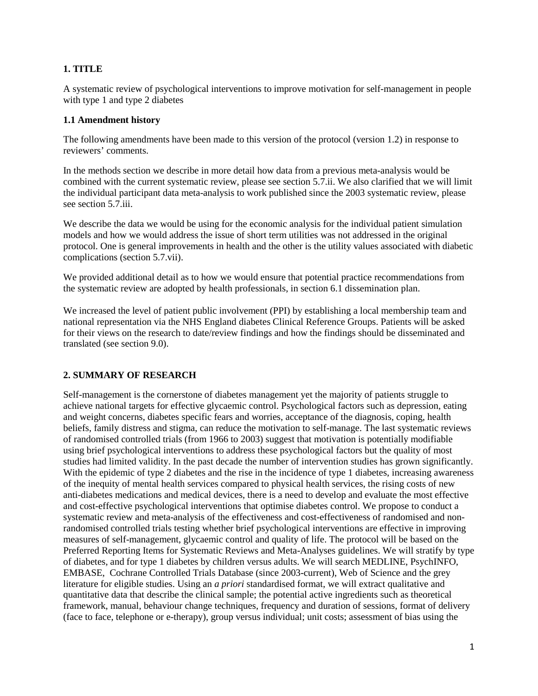### **1. TITLE**

A systematic review of psychological interventions to improve motivation for self-management in people with type 1 and type 2 diabetes

#### **1.1 Amendment history**

The following amendments have been made to this version of the protocol (version 1.2) in response to reviewers' comments.

In the methods section we describe in more detail how data from a previous meta-analysis would be combined with the current systematic review, please see section 5.7.ii. We also clarified that we will limit the individual participant data meta-analysis to work published since the 2003 systematic review, please see section 5.7.iii.

We describe the data we would be using for the economic analysis for the individual patient simulation models and how we would address the issue of short term utilities was not addressed in the original protocol. One is general improvements in health and the other is the utility values associated with diabetic complications (section 5.7.vii).

We provided additional detail as to how we would ensure that potential practice recommendations from the systematic review are adopted by health professionals, in section 6.1 dissemination plan.

We increased the level of patient public involvement (PPI) by establishing a local membership team and national representation via the NHS England diabetes Clinical Reference Groups. Patients will be asked for their views on the research to date/review findings and how the findings should be disseminated and translated (see section 9.0).

#### **2. SUMMARY OF RESEARCH**

Self-management is the cornerstone of diabetes management yet the majority of patients struggle to achieve national targets for effective glycaemic control. Psychological factors such as depression, eating and weight concerns, diabetes specific fears and worries, acceptance of the diagnosis, coping, health beliefs, family distress and stigma, can reduce the motivation to self-manage. The last systematic reviews of randomised controlled trials (from 1966 to 2003) suggest that motivation is potentially modifiable using brief psychological interventions to address these psychological factors but the quality of most studies had limited validity. In the past decade the number of intervention studies has grown significantly. With the epidemic of type 2 diabetes and the rise in the incidence of type 1 diabetes, increasing awareness of the inequity of mental health services compared to physical health services, the rising costs of new anti-diabetes medications and medical devices, there is a need to develop and evaluate the most effective and cost-effective psychological interventions that optimise diabetes control. We propose to conduct a systematic review and meta-analysis of the effectiveness and cost-effectiveness of randomised and nonrandomised controlled trials testing whether brief psychological interventions are effective in improving measures of self-management, glycaemic control and quality of life. The protocol will be based on the Preferred Reporting Items for Systematic Reviews and Meta-Analyses guidelines. We will stratify by type of diabetes, and for type 1 diabetes by children versus adults. We will search MEDLINE, PsychINFO, EMBASE, Cochrane Controlled Trials Database (since 2003-current), Web of Science and the grey literature for eligible studies. Using an *a priori* standardised format, we will extract qualitative and quantitative data that describe the clinical sample; the potential active ingredients such as theoretical framework, manual, behaviour change techniques, frequency and duration of sessions, format of delivery (face to face, telephone or e-therapy), group versus individual; unit costs; assessment of bias using the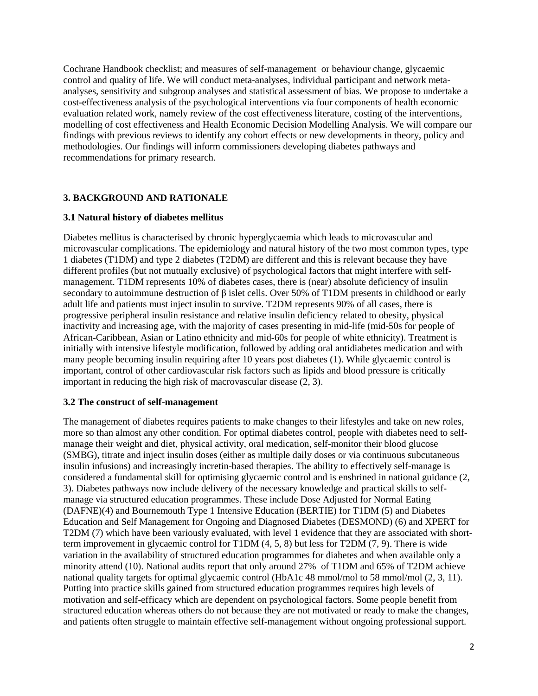Cochrane Handbook checklist; and measures of self-management or behaviour change, glycaemic control and quality of life. We will conduct meta-analyses, individual participant and network metaanalyses, sensitivity and subgroup analyses and statistical assessment of bias. We propose to undertake a cost-effectiveness analysis of the psychological interventions via four components of health economic evaluation related work, namely review of the cost effectiveness literature, costing of the interventions, modelling of cost effectiveness and Health Economic Decision Modelling Analysis. We will compare our findings with previous reviews to identify any cohort effects or new developments in theory, policy and methodologies. Our findings will inform commissioners developing diabetes pathways and recommendations for primary research.

### **3. BACKGROUND AND RATIONALE**

#### **3.1 Natural history of diabetes mellitus**

Diabetes mellitus is characterised by chronic hyperglycaemia which leads to microvascular and microvascular complications. The epidemiology and natural history of the two most common types, type 1 diabetes (T1DM) and type 2 diabetes (T2DM) are different and this is relevant because they have different profiles (but not mutually exclusive) of psychological factors that might interfere with selfmanagement. T1DM represents 10% of diabetes cases, there is (near) absolute deficiency of insulin secondary to autoimmune destruction of β islet cells. Over 50% of T1DM presents in childhood or early adult life and patients must inject insulin to survive. T2DM represents 90% of all cases, there is progressive peripheral insulin resistance and relative insulin deficiency related to obesity, physical inactivity and increasing age, with the majority of cases presenting in mid-life (mid-50s for people of African-Caribbean, Asian or Latino ethnicity and mid-60s for people of white ethnicity). Treatment is initially with intensive lifestyle modification, followed by adding oral antidiabetes medication and with many people becoming insulin requiring after 10 years post diabetes [\(1\)](#page-20-0). While glycaemic control is important, control of other cardiovascular risk factors such as lipids and blood pressure is critically important in reducing the high risk of macrovascular disease [\(2,](#page-20-1) [3\)](#page-20-2).

#### **3.2 The construct of self-management**

The management of diabetes requires patients to make changes to their lifestyles and take on new roles, more so than almost any other condition. For optimal diabetes control, people with diabetes need to selfmanage their weight and diet, physical activity, oral medication, self-monitor their blood glucose (SMBG), titrate and inject insulin doses (either as multiple daily doses or via continuous subcutaneous insulin infusions) and increasingly incretin-based therapies. The ability to effectively self-manage is considered a fundamental skill for optimising glycaemic control and is enshrined in national guidance [\(2,](#page-20-1) [3\)](#page-20-2). Diabetes pathways now include delivery of the necessary knowledge and practical skills to selfmanage via structured education programmes. These include Dose Adjusted for Normal Eating (DAFNE)[\(4\)](#page-20-3) and Bournemouth Type 1 Intensive Education (BERTIE) for T1DM [\(5\)](#page-20-4) and Diabetes Education and Self Management for Ongoing and Diagnosed Diabetes (DESMOND) [\(6\)](#page-20-5) and XPERT for T2DM [\(7\)](#page-20-6) which have been variously evaluated, with level 1 evidence that they are associated with shortterm improvement in glycaemic control for T1DM [\(4,](#page-20-3) [5,](#page-20-4) [8\)](#page-20-7) but less for T2DM [\(7,](#page-20-6) [9\)](#page-20-8). There is wide variation in the availability of structured education programmes for diabetes and when available only a minority attend [\(10\)](#page-20-9). National audits report that only around 27% of T1DM and 65% of T2DM achieve national quality targets for optimal glycaemic control (HbA1c 48 mmol/mol to 58 mmol/mol [\(2,](#page-20-1) [3,](#page-20-2) [11\)](#page-20-10). Putting into practice skills gained from structured education programmes requires high levels of motivation and self-efficacy which are dependent on psychological factors. Some people benefit from structured education whereas others do not because they are not motivated or ready to make the changes, and patients often struggle to maintain effective self-management without ongoing professional support.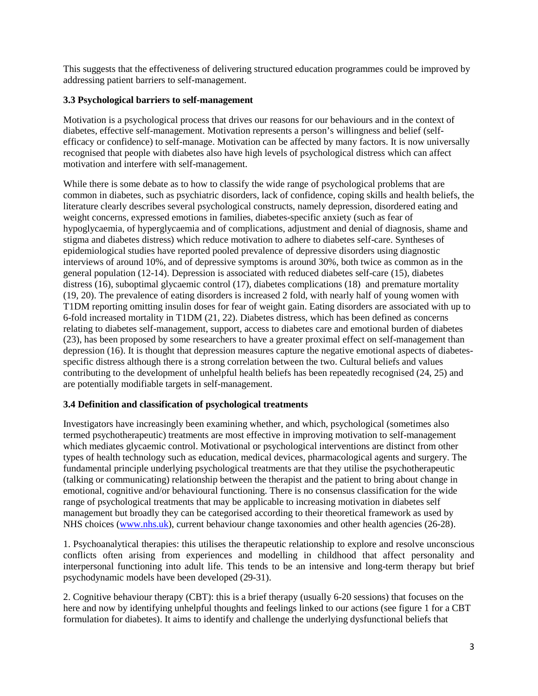This suggests that the effectiveness of delivering structured education programmes could be improved by addressing patient barriers to self-management.

### **3.3 Psychological barriers to self-management**

Motivation is a psychological process that drives our reasons for our behaviours and in the context of diabetes, effective self-management. Motivation represents a person's willingness and belief (selfefficacy or confidence) to self-manage. Motivation can be affected by many factors. It is now universally recognised that people with diabetes also have high levels of psychological distress which can affect motivation and interfere with self-management.

While there is some debate as to how to classify the wide range of psychological problems that are common in diabetes, such as psychiatric disorders, lack of confidence, coping skills and health beliefs, the literature clearly describes several psychological constructs, namely depression, disordered eating and weight concerns, expressed emotions in families, diabetes-specific anxiety (such as fear of hypoglycaemia, of hyperglycaemia and of complications, adjustment and denial of diagnosis, shame and stigma and diabetes distress) which reduce motivation to adhere to diabetes self-care. Syntheses of epidemiological studies have reported pooled prevalence of depressive disorders using diagnostic interviews of around 10%, and of depressive symptoms is around 30%, both twice as common as in the general population [\(12-14\)](#page-20-11). Depression is associated with reduced diabetes self-care [\(15\)](#page-20-12), diabetes distress [\(16\)](#page-20-13), suboptimal glycaemic control [\(17\)](#page-20-14), diabetes complications [\(18\)](#page-21-0) and premature mortality [\(19,](#page-21-1) [20\)](#page-21-2). The prevalence of eating disorders is increased 2 fold, with nearly half of young women with T1DM reporting omitting insulin doses for fear of weight gain. Eating disorders are associated with up to 6-fold increased mortality in T1DM [\(21,](#page-21-3) [22\)](#page-21-4). Diabetes distress, which has been defined as concerns relating to diabetes self-management, support, access to diabetes care and emotional burden of diabetes [\(23\)](#page-21-5), has been proposed by some researchers to have a greater proximal effect on self-management than depression [\(16\)](#page-20-13). It is thought that depression measures capture the negative emotional aspects of diabetesspecific distress although there is a strong correlation between the two. Cultural beliefs and values contributing to the development of unhelpful health beliefs has been repeatedly recognised [\(24,](#page-21-6) [25\)](#page-21-7) and are potentially modifiable targets in self-management.

# **3.4 Definition and classification of psychological treatments**

Investigators have increasingly been examining whether, and which, psychological (sometimes also termed psychotherapeutic) treatments are most effective in improving motivation to self-management which mediates glycaemic control. Motivational or psychological interventions are distinct from other types of health technology such as education, medical devices, pharmacological agents and surgery. The fundamental principle underlying psychological treatments are that they utilise the psychotherapeutic (talking or communicating) relationship between the therapist and the patient to bring about change in emotional, cognitive and/or behavioural functioning. There is no consensus classification for the wide range of psychological treatments that may be applicable to increasing motivation in diabetes self management but broadly they can be categorised according to their theoretical framework as used by NHS choices [\(www.nhs.uk\)](http://www.nhs.uk/), current behaviour change taxonomies and other health agencies [\(26-28\)](#page-21-8).

1. Psychoanalytical therapies: this utilises the therapeutic relationship to explore and resolve unconscious conflicts often arising from experiences and modelling in childhood that affect personality and interpersonal functioning into adult life. This tends to be an intensive and long-term therapy but brief psychodynamic models have been developed [\(29-31\)](#page-21-9).

2. Cognitive behaviour therapy (CBT): this is a brief therapy (usually 6-20 sessions) that focuses on the here and now by identifying unhelpful thoughts and feelings linked to our actions (see figure 1 for a CBT formulation for diabetes). It aims to identify and challenge the underlying dysfunctional beliefs that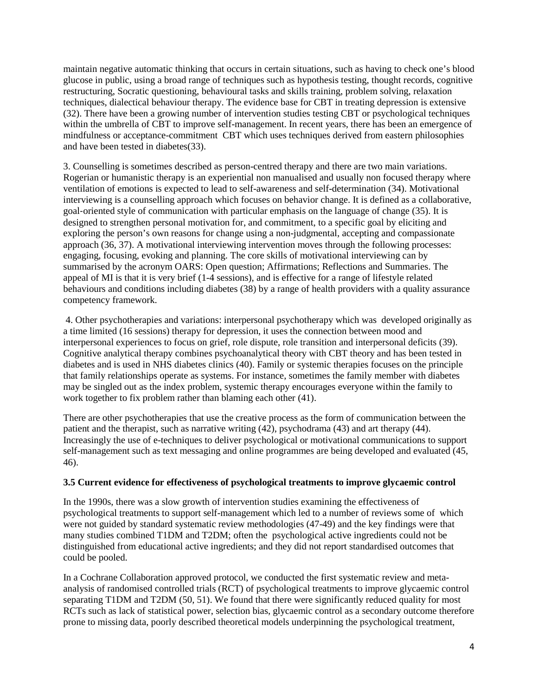maintain negative automatic thinking that occurs in certain situations, such as having to check one's blood glucose in public, using a broad range of techniques such as hypothesis testing, thought records, cognitive restructuring, Socratic questioning, behavioural tasks and skills training, problem solving, relaxation techniques, dialectical behaviour therapy. The evidence base for CBT in treating depression is extensive [\(32\)](#page-21-10). There have been a growing number of intervention studies testing CBT or psychological techniques within the umbrella of CBT to improve self-management. In recent years, there has been an emergence of mindfulness or acceptance-commitment CBT which uses techniques derived from eastern philosophies and have been tested in diabetes[\(33\)](#page-21-11).

3. Counselling is sometimes described as person-centred therapy and there are two main variations. Rogerian or humanistic therapy is an experiential non manualised and usually non focused therapy where ventilation of emotions is expected to lead to self-awareness and self-determination [\(34\)](#page-21-12). Motivational interviewing is a counselling approach which focuses on behavior change. It is defined as a collaborative, goal-oriented style of communication with particular emphasis on the language of change [\(35\)](#page-21-13). It is designed to strengthen personal motivation for, and commitment, to a specific goal by eliciting and exploring the person's own reasons for change using a non-judgmental, accepting and compassionate approach [\(36,](#page-21-14) [37\)](#page-21-15). A motivational interviewing intervention moves through the following processes: engaging, focusing, evoking and planning. The core skills of motivational interviewing can by summarised by the acronym OARS: Open question; Affirmations; Reflections and Summaries. The appeal of MI is that it is very brief (1-4 sessions), and is effective for a range of lifestyle related behaviours and conditions including diabetes [\(38\)](#page-21-16) by a range of health providers with a quality assurance competency framework.

4. Other psychotherapies and variations: interpersonal psychotherapy which was developed originally as a time limited (16 sessions) therapy for depression, it uses the connection between mood and interpersonal experiences to focus on grief, role dispute, role transition and interpersonal deficits [\(39\)](#page-21-17). Cognitive analytical therapy combines psychoanalytical theory with CBT theory and has been tested in diabetes and is used in NHS diabetes clinics [\(40\)](#page-22-0). Family or systemic therapies focuses on the principle that family relationships operate as systems. For instance, sometimes the family member with diabetes may be singled out as the index problem, systemic therapy encourages everyone within the family to work together to fix problem rather than blaming each other [\(41\)](#page-22-1).

There are other psychotherapies that use the creative process as the form of communication between the patient and the therapist, such as narrative writing [\(42\)](#page-22-2), psychodrama [\(43\)](#page-22-3) and art therapy [\(44\)](#page-22-4). Increasingly the use of e-techniques to deliver psychological or motivational communications to support self-management such as text messaging and online programmes are being developed and evaluated [\(45,](#page-22-5) [46\)](#page-22-6).

#### **3.5 Current evidence for effectiveness of psychological treatments to improve glycaemic control**

In the 1990s, there was a slow growth of intervention studies examining the effectiveness of psychological treatments to support self-management which led to a number of reviews some of which were not guided by standard systematic review methodologies [\(47-49\)](#page-22-7) and the key findings were that many studies combined T1DM and T2DM; often the psychological active ingredients could not be distinguished from educational active ingredients; and they did not report standardised outcomes that could be pooled.

In a Cochrane Collaboration approved protocol, we conducted the first systematic review and metaanalysis of randomised controlled trials (RCT) of psychological treatments to improve glycaemic control separating T1DM and T2DM [\(50,](#page-22-8) [51\)](#page-22-9). We found that there were significantly reduced quality for most RCTs such as lack of statistical power, selection bias, glycaemic control as a secondary outcome therefore prone to missing data, poorly described theoretical models underpinning the psychological treatment,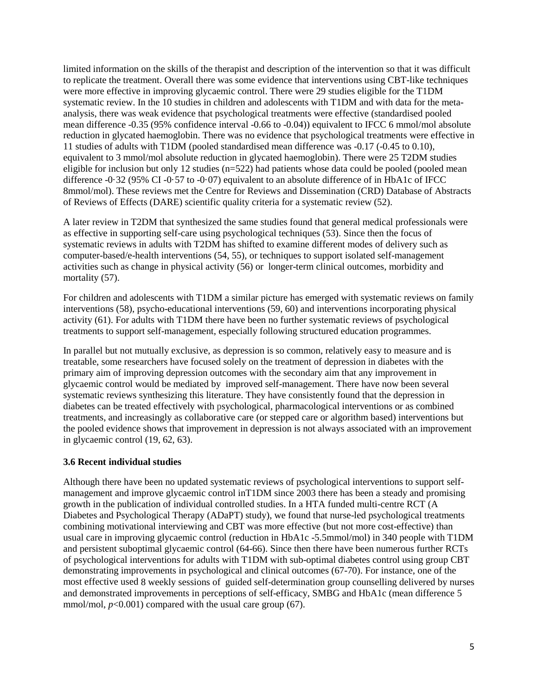limited information on the skills of the therapist and description of the intervention so that it was difficult to replicate the treatment. Overall there was some evidence that interventions using CBT-like techniques were more effective in improving glycaemic control. There were 29 studies eligible for the T1DM systematic review. In the 10 studies in children and adolescents with T1DM and with data for the metaanalysis, there was weak evidence that psychological treatments were effective (standardised pooled mean difference -0.35 (95% confidence interval -0.66 to -0.04)) equivalent to IFCC 6 mmol/mol absolute reduction in glycated haemoglobin. There was no evidence that psychological treatments were effective in 11 studies of adults with T1DM (pooled standardised mean difference was -0.17 (-0.45 to 0.10), equivalent to 3 mmol/mol absolute reduction in glycated haemoglobin). There were 25 T2DM studies eligible for inclusion but only 12 studies  $(n=522)$  had patients whose data could be pooled (pooled mean difference -0·32 (95% CI -0·57 to -0·07) equivalent to an absolute difference of in HbA1c of IFCC 8mmol/mol). These reviews met the Centre for Reviews and Dissemination (CRD) Database of Abstracts of Reviews of Effects (DARE) scientific quality criteria for a systematic review [\(52\)](#page-22-10).

A later review in T2DM that synthesized the same studies found that general medical professionals were as effective in supporting self-care using psychological techniques [\(53\)](#page-22-11). Since then the focus of systematic reviews in adults with T2DM has shifted to examine different modes of delivery such as computer-based/e-health interventions [\(54,](#page-22-12) [55\)](#page-22-13), or techniques to support isolated self-management activities such as change in physical activity [\(56\)](#page-22-14) or longer-term clinical outcomes, morbidity and mortality [\(57\)](#page-22-15).

For children and adolescents with T1DM a similar picture has emerged with systematic reviews on family interventions [\(58\)](#page-22-16), psycho-educational interventions [\(59,](#page-23-0) [60\)](#page-23-1) and interventions incorporating physical activity [\(61\)](#page-23-2). For adults with T1DM there have been no further systematic reviews of psychological treatments to support self-management, especially following structured education programmes.

In parallel but not mutually exclusive, as depression is so common, relatively easy to measure and is treatable, some researchers have focused solely on the treatment of depression in diabetes with the primary aim of improving depression outcomes with the secondary aim that any improvement in glycaemic control would be mediated by improved self-management. There have now been several systematic reviews synthesizing this literature. They have consistently found that the depression in diabetes can be treated effectively with psychological, pharmacological interventions or as combined treatments, and increasingly as collaborative care (or stepped care or algorithm based) interventions but the pooled evidence shows that improvement in depression is not always associated with an improvement in glycaemic control [\(19,](#page-21-1) [62,](#page-23-3) [63\)](#page-23-4).

# **3.6 Recent individual studies**

Although there have been no updated systematic reviews of psychological interventions to support selfmanagement and improve glycaemic control inT1DM since 2003 there has been a steady and promising growth in the publication of individual controlled studies. In a HTA funded multi-centre RCT (A Diabetes and Psychological Therapy (ADaPT) study), we found that nurse-led psychological treatments combining motivational interviewing and CBT was more effective (but not more cost-effective) than usual care in improving glycaemic control (reduction in HbA1c -5.5mmol/mol) in 340 people with T1DM and persistent suboptimal glycaemic control [\(64-66\)](#page-23-5). Since then there have been numerous further RCTs of psychological interventions for adults with T1DM with sub-optimal diabetes control using group CBT demonstrating improvements in psychological and clinical outcomes [\(67-70\)](#page-23-6). For instance, one of the most effective used 8 weekly sessions of guided self-determination group counselling delivered by nurses and demonstrated improvements in perceptions of self-efficacy, SMBG and HbA1c (mean difference 5 mmol/mol,  $p<0.001$ ) compared with the usual care group [\(67\)](#page-23-6).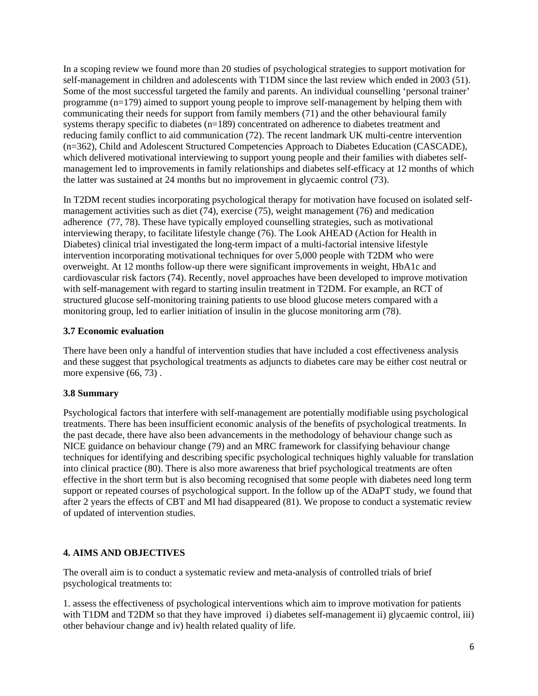In a scoping review we found more than 20 studies of psychological strategies to support motivation for self-management in children and adolescents with T1DM since the last review which ended in 2003 [\(51\)](#page-22-9). Some of the most successful targeted the family and parents. An individual counselling 'personal trainer' programme (n=179) aimed to support young people to improve self-management by helping them with communicating their needs for support from family members [\(71\)](#page-23-7) and the other behavioural family systems therapy specific to diabetes (n=189) concentrated on adherence to diabetes treatment and reducing family conflict to aid communication [\(72\)](#page-23-8). The recent landmark UK multi-centre intervention (n=362), Child and Adolescent Structured Competencies Approach to Diabetes Education (CASCADE), which delivered motivational interviewing to support young people and their families with diabetes selfmanagement led to improvements in family relationships and diabetes self-efficacy at 12 months of which the latter was sustained at 24 months but no improvement in glycaemic control [\(73\)](#page-23-9).

In T2DM recent studies incorporating psychological therapy for motivation have focused on isolated selfmanagement activities such as diet [\(74\)](#page-23-10), exercise [\(75\)](#page-23-11), weight management [\(76\)](#page-24-0) and medication adherence [\(77,](#page-24-1) [78\)](#page-24-2). These have typically employed counselling strategies, such as motivational interviewing therapy, to facilitate lifestyle change [\(76\)](#page-24-0). The Look AHEAD (Action for Health in Diabetes) clinical trial investigated the long-term impact of a multi-factorial intensive lifestyle intervention incorporating motivational techniques for over 5,000 people with T2DM who were overweight. At 12 months follow-up there were significant improvements in weight, HbA1c and cardiovascular risk factors [\(74\)](#page-23-10). Recently, novel approaches have been developed to improve motivation with self-management with regard to starting insulin treatment in T2DM. For example, an RCT of structured glucose self-monitoring training patients to use blood glucose meters compared with a monitoring group, led to earlier initiation of insulin in the glucose monitoring arm [\(78\)](#page-24-2).

# **3.7 Economic evaluation**

There have been only a handful of intervention studies that have included a cost effectiveness analysis and these suggest that psychological treatments as adjuncts to diabetes care may be either cost neutral or more expensive  $(66, 73)$  $(66, 73)$ .

# **3.8 Summary**

Psychological factors that interfere with self-management are potentially modifiable using psychological treatments. There has been insufficient economic analysis of the benefits of psychological treatments. In the past decade, there have also been advancements in the methodology of behaviour change such as NICE guidance on behaviour change [\(79\)](#page-24-3) and an MRC framework for classifying behaviour change techniques for identifying and describing specific psychological techniques highly valuable for translation into clinical practice [\(80\)](#page-24-4). There is also more awareness that brief psychological treatments are often effective in the short term but is also becoming recognised that some people with diabetes need long term support or repeated courses of psychological support. In the follow up of the ADaPT study, we found that after 2 years the effects of CBT and MI had disappeared [\(81\)](#page-24-5). We propose to conduct a systematic review of updated of intervention studies.

# **4. AIMS AND OBJECTIVES**

The overall aim is to conduct a systematic review and meta-analysis of controlled trials of brief psychological treatments to:

1. assess the effectiveness of psychological interventions which aim to improve motivation for patients with T1DM and T2DM so that they have improved i) diabetes self-management ii) glycaemic control, iii) other behaviour change and iv) health related quality of life.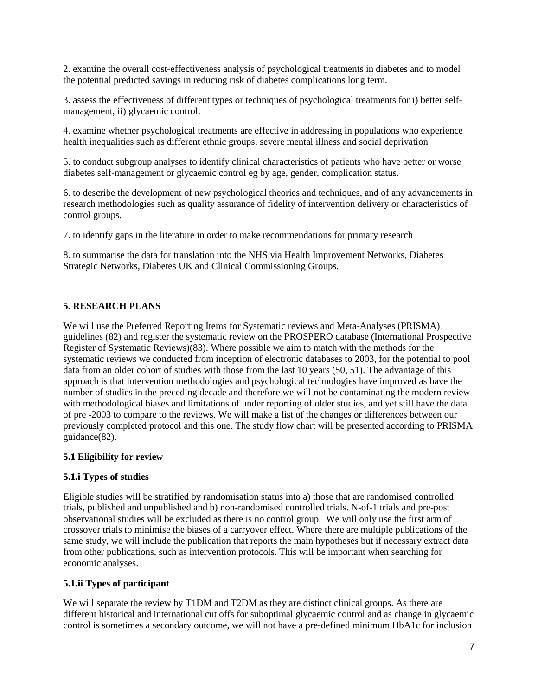2. examine the overall cost-effectiveness analysis of psychological treatments in diabetes and to model the potential predicted savings in reducing risk of diabetes complications long term.

3. assess the effectiveness of different types or techniques of psychological treatments for i) better selfmanagement, ii) glycaemic control.

4. examine whether psychological treatments are effective in addressing in populations who experience health inequalities such as different ethnic groups, severe mental illness and social deprivation

5. to conduct subgroup analyses to identify clinical characteristics of patients who have better or worse diabetes self-management or glycaemic control eg by age, gender, complication status.

6. to describe the development of new psychological theories and techniques, and of any advancements in research methodologies such as quality assurance of fidelity of intervention delivery or characteristics of control groups.

7. to identify gaps in the literature in order to make recommendations for primary research

8. to summarise the data for translation into the NHS via Health Improvement Networks, Diabetes Strategic Networks, Diabetes UK and Clinical Commissioning Groups.

# **5. RESEARCH PLANS**

We will use the Preferred Reporting Items for Systematic reviews and Meta-Analyses (PRISMA) guidelines [\(82\)](#page-24-6) and register the systematic review on the PROSPERO database (International Prospective Register of Systematic Reviews)[\(83\)](#page-24-7). Where possible we aim to match with the methods for the systematic reviews we conducted from inception of electronic databases to 2003, for the potential to pool data from an older cohort of studies with those from the last 10 years [\(50,](#page-22-8) [51\)](#page-22-9). The advantage of this approach is that intervention methodologies and psychological technologies have improved as have the number of studies in the preceding decade and therefore we will not be contaminating the modern review with methodological biases and limitations of under reporting of older studies, and yet still have the data of pre -2003 to compare to the reviews. We will make a list of the changes or differences between our previously completed protocol and this one. The study flow chart will be presented according to PRISMA guidance[\(82\)](#page-24-6).

# **5.1 Eligibility for review**

# **5.1.i Types of studies**

Eligible studies will be stratified by randomisation status into a) those that are randomised controlled trials, published and unpublished and b) non-randomised controlled trials. N-of-1 trials and pre-post observational studies will be excluded as there is no control group. We will only use the first arm of crossover trials to minimise the biases of a carryover effect. Where there are multiple publications of the same study, we will include the publication that reports the main hypotheses but if necessary extract data from other publications, such as intervention protocols. This will be important when searching for economic analyses.

# **5.1.ii Types of participant**

We will separate the review by T1DM and T2DM as they are distinct clinical groups. As there are different historical and international cut offs for suboptimal glycaemic control and as change in glycaemic control is sometimes a secondary outcome, we will not have a pre-defined minimum HbA1c for inclusion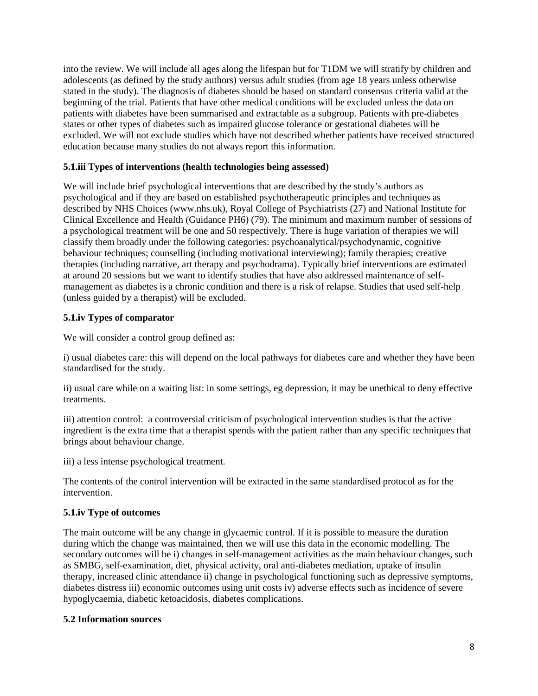into the review. We will include all ages along the lifespan but for T1DM we will stratify by children and adolescents (as defined by the study authors) versus adult studies (from age 18 years unless otherwise stated in the study). The diagnosis of diabetes should be based on standard consensus criteria valid at the beginning of the trial. Patients that have other medical conditions will be excluded unless the data on patients with diabetes have been summarised and extractable as a subgroup. Patients with pre-diabetes states or other types of diabetes such as impaired glucose tolerance or gestational diabetes will be excluded. We will not exclude studies which have not described whether patients have received structured education because many studies do not always report this information.

# **5.1.iii Types of interventions (health technologies being assessed)**

We will include brief psychological interventions that are described by the study's authors as psychological and if they are based on established psychotherapeutic principles and techniques as described by NHS Choices (www.nhs.uk), Royal College of Psychiatrists [\(27\)](#page-21-18) and National Institute for Clinical Excellence and Health (Guidance PH6) [\(79\)](#page-24-3). The minimum and maximum number of sessions of a psychological treatment will be one and 50 respectively. There is huge variation of therapies we will classify them broadly under the following categories: psychoanalytical/psychodynamic, cognitive behaviour techniques; counselling (including motivational interviewing); family therapies; creative therapies (including narrative, art therapy and psychodrama). Typically brief interventions are estimated at around 20 sessions but we want to identify studies that have also addressed maintenance of selfmanagement as diabetes is a chronic condition and there is a risk of relapse. Studies that used self-help (unless guided by a therapist) will be excluded.

# **5.1.iv Types of comparator**

We will consider a control group defined as:

i) usual diabetes care: this will depend on the local pathways for diabetes care and whether they have been standardised for the study.

ii) usual care while on a waiting list: in some settings, eg depression, it may be unethical to deny effective treatments.

iii) attention control: a controversial criticism of psychological intervention studies is that the active ingredient is the extra time that a therapist spends with the patient rather than any specific techniques that brings about behaviour change.

iii) a less intense psychological treatment.

The contents of the control intervention will be extracted in the same standardised protocol as for the intervention.

# **5.1.iv Type of outcomes**

The main outcome will be any change in glycaemic control. If it is possible to measure the duration during which the change was maintained, then we will use this data in the economic modelling. The secondary outcomes will be i) changes in self-management activities as the main behaviour changes, such as SMBG, self-examination, diet, physical activity, oral anti-diabetes mediation, uptake of insulin therapy, increased clinic attendance ii) change in psychological functioning such as depressive symptoms, diabetes distress iii) economic outcomes using unit costs iv) adverse effects such as incidence of severe hypoglycaemia, diabetic ketoacidosis, diabetes complications.

# **5.2 Information sources**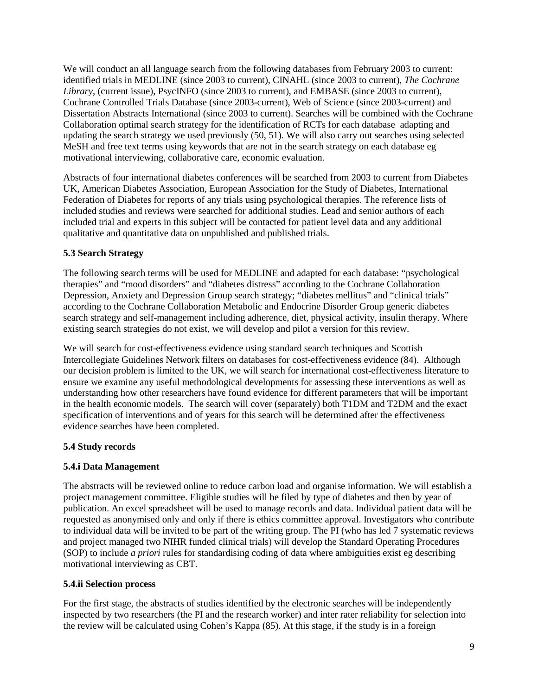We will conduct an all language search from the following databases from February 2003 to current: identified trials in MEDLINE (since 2003 to current), CINAHL (since 2003 to current), *The Cochrane Library*, (current issue), PsycINFO (since 2003 to current), and EMBASE (since 2003 to current), Cochrane Controlled Trials Database (since 2003-current), Web of Science (since 2003-current) and Dissertation Abstracts International (since 2003 to current). Searches will be combined with the Cochrane Collaboration optimal search strategy for the identification of RCTs for each database adapting and updating the search strategy we used previously [\(50,](#page-22-8) [51\)](#page-22-9). We will also carry out searches using selected MeSH and free text terms using keywords that are not in the search strategy on each database eg motivational interviewing, collaborative care, economic evaluation.

Abstracts of four international diabetes conferences will be searched from 2003 to current from Diabetes UK, American Diabetes Association, European Association for the Study of Diabetes, International Federation of Diabetes for reports of any trials using psychological therapies. The reference lists of included studies and reviews were searched for additional studies. Lead and senior authors of each included trial and experts in this subject will be contacted for patient level data and any additional qualitative and quantitative data on unpublished and published trials.

# **5.3 Search Strategy**

The following search terms will be used for MEDLINE and adapted for each database: "psychological therapies" and "mood disorders" and "diabetes distress" according to the Cochrane Collaboration Depression, Anxiety and Depression Group search strategy; "diabetes mellitus" and "clinical trials" according to the Cochrane Collaboration Metabolic and Endocrine Disorder Group generic diabetes search strategy and self-management including adherence, diet, physical activity, insulin therapy. Where existing search strategies do not exist, we will develop and pilot a version for this review.

We will search for cost-effectiveness evidence using standard search techniques and Scottish Intercollegiate Guidelines Network filters on databases for cost-effectiveness evidence [\(84\)](#page-24-8). Although our decision problem is limited to the UK, we will search for international cost-effectiveness literature to ensure we examine any useful methodological developments for assessing these interventions as well as understanding how other researchers have found evidence for different parameters that will be important in the health economic models. The search will cover (separately) both T1DM and T2DM and the exact specification of interventions and of years for this search will be determined after the effectiveness evidence searches have been completed.

#### **5.4 Study records**

#### **5.4.i Data Management**

The abstracts will be reviewed online to reduce carbon load and organise information. We will establish a project management committee. Eligible studies will be filed by type of diabetes and then by year of publication. An excel spreadsheet will be used to manage records and data. Individual patient data will be requested as anonymised only and only if there is ethics committee approval. Investigators who contribute to individual data will be invited to be part of the writing group. The PI (who has led 7 systematic reviews and project managed two NIHR funded clinical trials) will develop the Standard Operating Procedures (SOP) to include *a priori* rules for standardising coding of data where ambiguities exist eg describing motivational interviewing as CBT.

#### **5.4.ii Selection process**

For the first stage, the abstracts of studies identified by the electronic searches will be independently inspected by two researchers (the PI and the research worker) and inter rater reliability for selection into the review will be calculated using Cohen's Kappa [\(85\)](#page-24-9). At this stage, if the study is in a foreign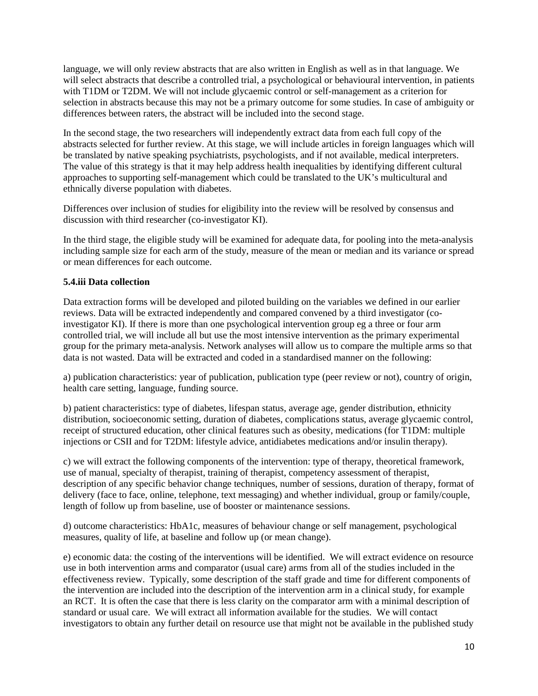language, we will only review abstracts that are also written in English as well as in that language. We will select abstracts that describe a controlled trial, a psychological or behavioural intervention, in patients with T1DM or T2DM. We will not include glycaemic control or self-management as a criterion for selection in abstracts because this may not be a primary outcome for some studies. In case of ambiguity or differences between raters, the abstract will be included into the second stage.

In the second stage, the two researchers will independently extract data from each full copy of the abstracts selected for further review. At this stage, we will include articles in foreign languages which will be translated by native speaking psychiatrists, psychologists, and if not available, medical interpreters. The value of this strategy is that it may help address health inequalities by identifying different cultural approaches to supporting self-management which could be translated to the UK's multicultural and ethnically diverse population with diabetes.

Differences over inclusion of studies for eligibility into the review will be resolved by consensus and discussion with third researcher (co-investigator KI).

In the third stage, the eligible study will be examined for adequate data, for pooling into the meta-analysis including sample size for each arm of the study, measure of the mean or median and its variance or spread or mean differences for each outcome.

### **5.4.iii Data collection**

Data extraction forms will be developed and piloted building on the variables we defined in our earlier reviews. Data will be extracted independently and compared convened by a third investigator (coinvestigator KI). If there is more than one psychological intervention group eg a three or four arm controlled trial, we will include all but use the most intensive intervention as the primary experimental group for the primary meta-analysis. Network analyses will allow us to compare the multiple arms so that data is not wasted. Data will be extracted and coded in a standardised manner on the following:

a) publication characteristics: year of publication, publication type (peer review or not), country of origin, health care setting, language, funding source.

b) patient characteristics: type of diabetes, lifespan status, average age, gender distribution, ethnicity distribution, socioeconomic setting, duration of diabetes, complications status, average glycaemic control, receipt of structured education, other clinical features such as obesity, medications (for T1DM: multiple injections or CSII and for T2DM: lifestyle advice, antidiabetes medications and/or insulin therapy).

c) we will extract the following components of the intervention: type of therapy, theoretical framework, use of manual, specialty of therapist, training of therapist, competency assessment of therapist, description of any specific behavior change techniques, number of sessions, duration of therapy, format of delivery (face to face, online, telephone, text messaging) and whether individual, group or family/couple, length of follow up from baseline, use of booster or maintenance sessions.

d) outcome characteristics: HbA1c, measures of behaviour change or self management, psychological measures, quality of life, at baseline and follow up (or mean change).

e) economic data: the costing of the interventions will be identified. We will extract evidence on resource use in both intervention arms and comparator (usual care) arms from all of the studies included in the effectiveness review. Typically, some description of the staff grade and time for different components of the intervention are included into the description of the intervention arm in a clinical study, for example an RCT. It is often the case that there is less clarity on the comparator arm with a minimal description of standard or usual care. We will extract all information available for the studies. We will contact investigators to obtain any further detail on resource use that might not be available in the published study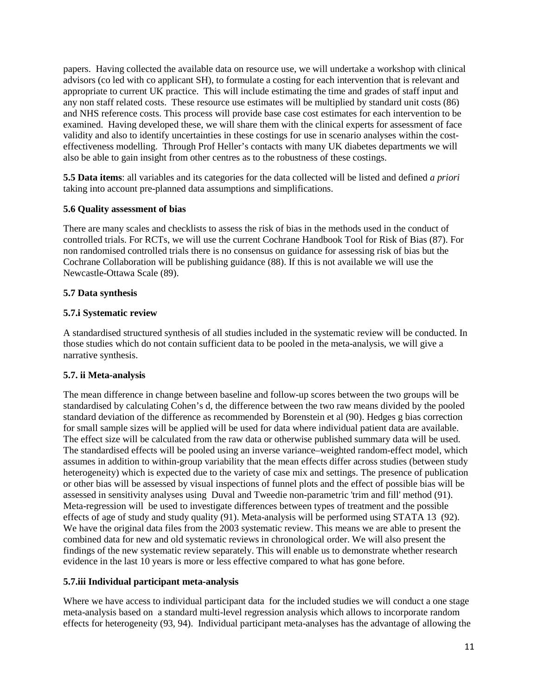papers. Having collected the available data on resource use, we will undertake a workshop with clinical advisors (co led with co applicant SH), to formulate a costing for each intervention that is relevant and appropriate to current UK practice. This will include estimating the time and grades of staff input and any non staff related costs. These resource use estimates will be multiplied by standard unit costs [\(86\)](#page-24-10) and NHS reference costs. This process will provide base case cost estimates for each intervention to be examined. Having developed these, we will share them with the clinical experts for assessment of face validity and also to identify uncertainties in these costings for use in scenario analyses within the costeffectiveness modelling. Through Prof Heller's contacts with many UK diabetes departments we will also be able to gain insight from other centres as to the robustness of these costings.

**5.5 Data items**: all variables and its categories for the data collected will be listed and defined *a priori* taking into account pre-planned data assumptions and simplifications.

#### **5.6 Quality assessment of bias**

There are many scales and checklists to assess the risk of bias in the methods used in the conduct of controlled trials. For RCTs, we will use the current Cochrane Handbook Tool for Risk of Bias [\(87\)](#page-24-11). For non randomised controlled trials there is no consensus on guidance for assessing risk of bias but the Cochrane Collaboration will be publishing guidance [\(88\)](#page-24-12). If this is not available we will use the Newcastle-Ottawa Scale [\(89\)](#page-24-13).

### **5.7 Data synthesis**

### **5.7.i Systematic review**

A standardised structured synthesis of all studies included in the systematic review will be conducted. In those studies which do not contain sufficient data to be pooled in the meta-analysis, we will give a narrative synthesis.

# **5.7. ii Meta-analysis**

The mean difference in change between baseline and follow-up scores between the two groups will be standardised by calculating Cohen's d, the difference between the two raw means divided by the pooled standard deviation of the difference as recommended by Borenstein et al [\(90\)](#page-24-14). Hedges g bias correction for small sample sizes will be applied will be used for data where individual patient data are available. The effect size will be calculated from the raw data or otherwise published summary data will be used. The standardised effects will be pooled using an inverse variance–weighted random-effect model, which assumes in addition to within-group variability that the mean effects differ across studies (between study heterogeneity) which is expected due to the variety of case mix and settings. The presence of publication or other bias will be assessed by visual inspections of funnel plots and the effect of possible bias will be assessed in sensitivity analyses using Duval and Tweedie non-parametric 'trim and fill' method [\(91\)](#page-24-15). Meta-regression will be used to investigate differences between types of treatment and the possible effects of age of study and study quality [\(91\)](#page-24-15). Meta-analysis will be performed using STATA 13 [\(92\)](#page-24-16). We have the original data files from the 2003 systematic review. This means we are able to present the combined data for new and old systematic reviews in chronological order. We will also present the findings of the new systematic review separately. This will enable us to demonstrate whether research evidence in the last 10 years is more or less effective compared to what has gone before.

#### **5.7.iii Individual participant meta-analysis**

Where we have access to individual participant data for the included studies we will conduct a one stage meta-analysis based on a standard multi-level regression analysis which allows to incorporate random effects for heterogeneity [\(93,](#page-24-17) [94\)](#page-24-18). Individual participant meta-analyses has the advantage of allowing the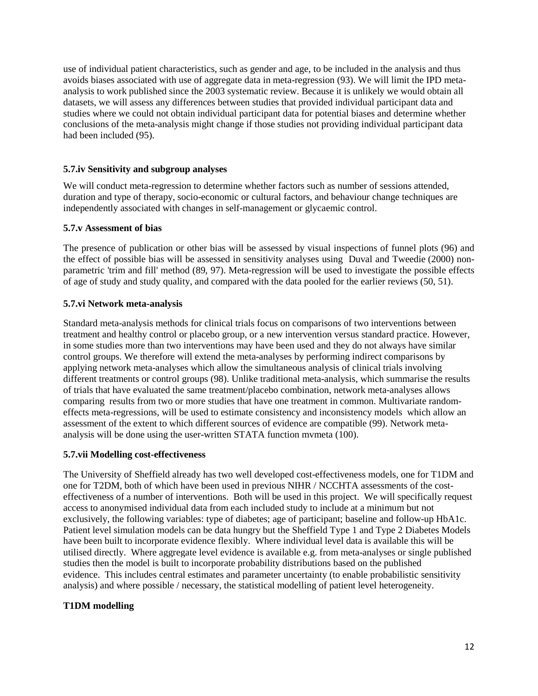use of individual patient characteristics, such as gender and age, to be included in the analysis and thus avoids biases associated with use of aggregate data in meta-regression [\(93\)](#page-24-17). We will limit the IPD metaanalysis to work published since the 2003 systematic review. Because it is unlikely we would obtain all datasets, we will assess any differences between studies that provided individual participant data and studies where we could not obtain individual participant data for potential biases and determine whether conclusions of the meta-analysis might change if those studies not providing individual participant data had been included [\(95\)](#page-24-19).

### **5.7.iv Sensitivity and subgroup analyses**

We will conduct meta-regression to determine whether factors such as number of sessions attended, duration and type of therapy, socio-economic or cultural factors, and behaviour change techniques are independently associated with changes in self-management or glycaemic control.

#### **5.7.v Assessment of bias**

The presence of publication or other bias will be assessed by visual inspections of funnel plots [\(96\)](#page-25-0) and the effect of possible bias will be assessed in sensitivity analyses using Duval and Tweedie (2000) nonparametric 'trim and fill' method [\(89,](#page-24-13) [97\)](#page-25-1). Meta-regression will be used to investigate the possible effects of age of study and study quality, and compared with the data pooled for the earlier reviews [\(50,](#page-22-8) [51\)](#page-22-9).

#### **5.7.vi Network meta-analysis**

Standard meta-analysis methods for clinical trials focus on comparisons of two interventions between treatment and healthy control or placebo group, or a new intervention versus standard practice. However, in some studies more than two interventions may have been used and they do not always have similar control groups. We therefore will extend the meta-analyses by performing indirect comparisons by applying network meta-analyses which allow the simultaneous analysis of clinical trials involving different treatments or control groups [\(98\)](#page-25-2). Unlike traditional meta-analysis, which summarise the results of trials that have evaluated the same treatment/placebo combination, network meta-analyses allows comparing results from two or more studies that have one treatment in common. Multivariate randomeffects meta-regressions, will be used to estimate consistency and inconsistency models which allow an assessment of the extent to which different sources of evidence are compatible [\(99\)](#page-25-3). Network metaanalysis will be done using the user-written STATA function mvmeta [\(100\)](#page-25-4).

#### **5.7.vii Modelling cost-effectiveness**

The University of Sheffield already has two well developed cost-effectiveness models, one for T1DM and one for T2DM, both of which have been used in previous NIHR / NCCHTA assessments of the costeffectiveness of a number of interventions. Both will be used in this project. We will specifically request access to anonymised individual data from each included study to include at a minimum but not exclusively, the following variables: type of diabetes; age of participant; baseline and follow-up HbA1c. Patient level simulation models can be data hungry but the Sheffield Type 1 and Type 2 Diabetes Models have been built to incorporate evidence flexibly. Where individual level data is available this will be utilised directly. Where aggregate level evidence is available e.g. from meta-analyses or single published studies then the model is built to incorporate probability distributions based on the published evidence. This includes central estimates and parameter uncertainty (to enable probabilistic sensitivity analysis) and where possible / necessary, the statistical modelling of patient level heterogeneity.

#### **T1DM modelling**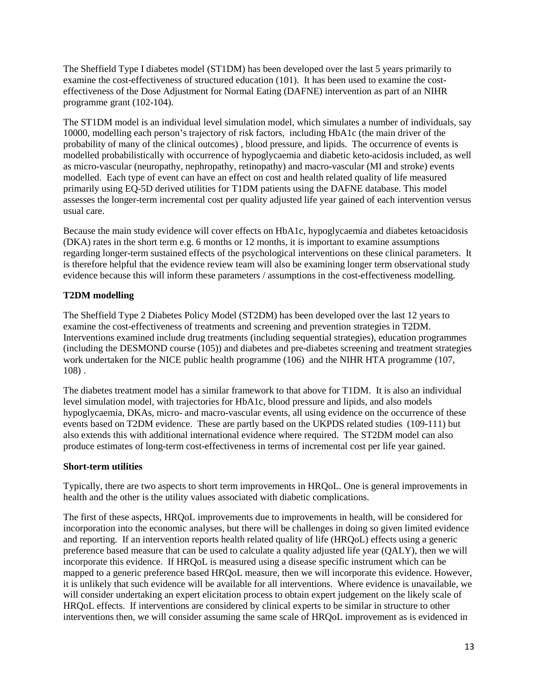The Sheffield Type I diabetes model (ST1DM) has been developed over the last 5 years primarily to examine the cost-effectiveness of structured education [\(101\)](#page-25-5). It has been used to examine the costeffectiveness of the Dose Adjustment for Normal Eating (DAFNE) intervention as part of an NIHR programme grant [\(102-104\)](#page-25-6).

The ST1DM model is an individual level simulation model, which simulates a number of individuals, say 10000, modelling each person's trajectory of risk factors, including HbA1c (the main driver of the probability of many of the clinical outcomes) , blood pressure, and lipids. The occurrence of events is modelled probabilistically with occurrence of hypoglycaemia and diabetic keto-acidosis included, as well as micro-vascular (neuropathy, nephropathy, retinopathy) and macro-vascular (MI and stroke) events modelled. Each type of event can have an effect on cost and health related quality of life measured primarily using EQ-5D derived utilities for T1DM patients using the DAFNE database. This model assesses the longer-term incremental cost per quality adjusted life year gained of each intervention versus usual care.

Because the main study evidence will cover effects on HbA1c, hypoglycaemia and diabetes ketoacidosis (DKA) rates in the short term e.g. 6 months or 12 months, it is important to examine assumptions regarding longer-term sustained effects of the psychological interventions on these clinical parameters. It is therefore helpful that the evidence review team will also be examining longer term observational study evidence because this will inform these parameters / assumptions in the cost-effectiveness modelling.

# **T2DM modelling**

The Sheffield Type 2 Diabetes Policy Model (ST2DM) has been developed over the last 12 years to examine the cost-effectiveness of treatments and screening and prevention strategies in T2DM. Interventions examined include drug treatments (including sequential strategies), education programmes (including the DESMOND course [\(105\)](#page-25-7)) and diabetes and pre-diabetes screening and treatment strategies work undertaken for the NICE public health programme [\(106\)](#page-25-8) and the NIHR HTA programme [\(107,](#page-25-9) [108\)](#page-25-10) .

The diabetes treatment model has a similar framework to that above for T1DM. It is also an individual level simulation model, with trajectories for HbA1c, blood pressure and lipids, and also models hypoglycaemia, DKAs, micro- and macro-vascular events, all using evidence on the occurrence of these events based on T2DM evidence. These are partly based on the UKPDS related studies [\(109-111\)](#page-25-11) but also extends this with additional international evidence where required. The ST2DM model can also produce estimates of long-term cost-effectiveness in terms of incremental cost per life year gained.

#### **Short-term utilities**

Typically, there are two aspects to short term improvements in HRQoL. One is general improvements in health and the other is the utility values associated with diabetic complications.

The first of these aspects, HRQoL improvements due to improvements in health, will be considered for incorporation into the economic analyses, but there will be challenges in doing so given limited evidence and reporting. If an intervention reports health related quality of life (HRQoL) effects using a generic preference based measure that can be used to calculate a quality adjusted life year (QALY), then we will incorporate this evidence. If HRQoL is measured using a disease specific instrument which can be mapped to a generic preference based HRQoL measure, then we will incorporate this evidence. However, it is unlikely that such evidence will be available for all interventions. Where evidence is unavailable, we will consider undertaking an expert elicitation process to obtain expert judgement on the likely scale of HRQoL effects. If interventions are considered by clinical experts to be similar in structure to other interventions then, we will consider assuming the same scale of HRQoL improvement as is evidenced in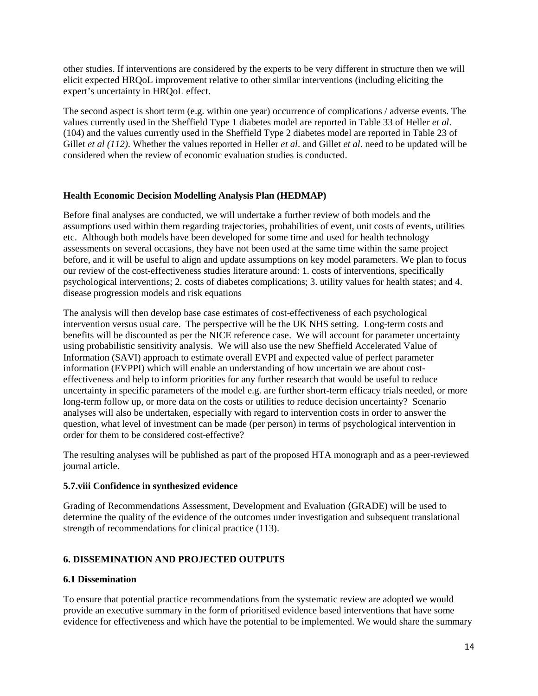other studies. If interventions are considered by the experts to be very different in structure then we will elicit expected HRQoL improvement relative to other similar interventions (including eliciting the expert's uncertainty in HRQoL effect.

The second aspect is short term (e.g. within one year) occurrence of complications / adverse events. The values currently used in the Sheffield Type 1 diabetes model are reported in Table 33 of Heller *et al*. [\(104\)](#page-25-12) and the values currently used in the Sheffield Type 2 diabetes model are reported in Table 23 of Gillet *et al [\(112\)](#page-26-0)*. Whether the values reported in Heller *et al*. and Gillet *et al*. need to be updated will be considered when the review of economic evaluation studies is conducted.

# **Health Economic Decision Modelling Analysis Plan (HEDMAP)**

Before final analyses are conducted, we will undertake a further review of both models and the assumptions used within them regarding trajectories, probabilities of event, unit costs of events, utilities etc. Although both models have been developed for some time and used for health technology assessments on several occasions, they have not been used at the same time within the same project before, and it will be useful to align and update assumptions on key model parameters. We plan to focus our review of the cost-effectiveness studies literature around: 1. costs of interventions, specifically psychological interventions; 2. costs of diabetes complications; 3. utility values for health states; and 4. disease progression models and risk equations

The analysis will then develop base case estimates of cost-effectiveness of each psychological intervention versus usual care. The perspective will be the UK NHS setting. Long-term costs and benefits will be discounted as per the NICE reference case. We will account for parameter uncertainty using probabilistic sensitivity analysis. We will also use the new Sheffield Accelerated Value of Information (SAVI) approach to estimate overall EVPI and expected value of perfect parameter information (EVPPI) which will enable an understanding of how uncertain we are about costeffectiveness and help to inform priorities for any further research that would be useful to reduce uncertainty in specific parameters of the model e.g. are further short-term efficacy trials needed, or more long-term follow up, or more data on the costs or utilities to reduce decision uncertainty? Scenario analyses will also be undertaken, especially with regard to intervention costs in order to answer the question, what level of investment can be made (per person) in terms of psychological intervention in order for them to be considered cost-effective?

The resulting analyses will be published as part of the proposed HTA monograph and as a peer-reviewed journal article.

# **5.7.viii Confidence in synthesized evidence**

Grading of Recommendations Assessment, Development and Evaluation (GRADE) will be used to determine the quality of the evidence of the outcomes under investigation and subsequent translational strength of recommendations for clinical practice [\(113\)](#page-26-1).

# **6. DISSEMINATION AND PROJECTED OUTPUTS**

#### **6.1 Dissemination**

To ensure that potential practice recommendations from the systematic review are adopted we would provide an executive summary in the form of prioritised evidence based interventions that have some evidence for effectiveness and which have the potential to be implemented. We would share the summary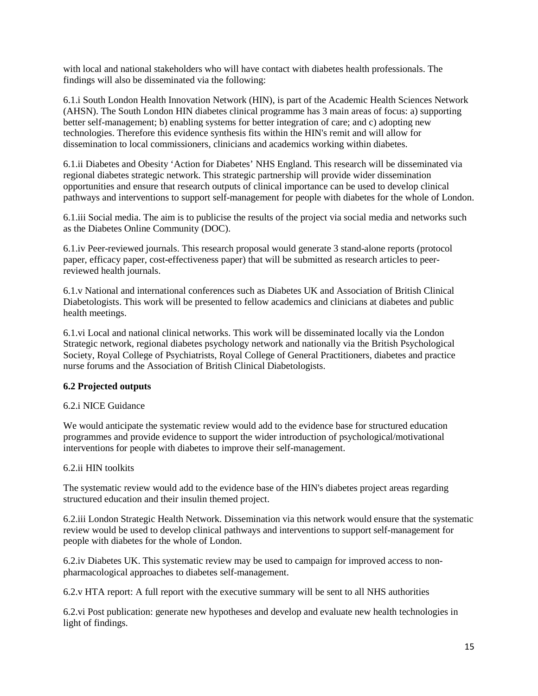with local and national stakeholders who will have contact with diabetes health professionals. The findings will also be disseminated via the following:

6.1.i South London Health Innovation Network (HIN), is part of the Academic Health Sciences Network (AHSN). The South London HIN diabetes clinical programme has 3 main areas of focus: a) supporting better self-management; b) enabling systems for better integration of care; and c) adopting new technologies. Therefore this evidence synthesis fits within the HIN's remit and will allow for dissemination to local commissioners, clinicians and academics working within diabetes.

6.1.ii Diabetes and Obesity 'Action for Diabetes' NHS England. This research will be disseminated via regional diabetes strategic network. This strategic partnership will provide wider dissemination opportunities and ensure that research outputs of clinical importance can be used to develop clinical pathways and interventions to support self-management for people with diabetes for the whole of London.

6.1.iii Social media. The aim is to publicise the results of the project via social media and networks such as the Diabetes Online Community (DOC).

6.1.iv Peer-reviewed journals. This research proposal would generate 3 stand-alone reports (protocol paper, efficacy paper, cost-effectiveness paper) that will be submitted as research articles to peerreviewed health journals.

6.1.v National and international conferences such as Diabetes UK and Association of British Clinical Diabetologists. This work will be presented to fellow academics and clinicians at diabetes and public health meetings.

6.1.vi Local and national clinical networks. This work will be disseminated locally via the London Strategic network, regional diabetes psychology network and nationally via the British Psychological Society, Royal College of Psychiatrists, Royal College of General Practitioners, diabetes and practice nurse forums and the Association of British Clinical Diabetologists.

# **6.2 Projected outputs**

#### 6.2.i NICE Guidance

We would anticipate the systematic review would add to the evidence base for structured education programmes and provide evidence to support the wider introduction of psychological/motivational interventions for people with diabetes to improve their self-management.

#### 6.2.ii HIN toolkits

The systematic review would add to the evidence base of the HIN's diabetes project areas regarding structured education and their insulin themed project.

6.2.iii London Strategic Health Network. Dissemination via this network would ensure that the systematic review would be used to develop clinical pathways and interventions to support self-management for people with diabetes for the whole of London.

6.2.iv Diabetes UK. This systematic review may be used to campaign for improved access to nonpharmacological approaches to diabetes self-management.

6.2.v HTA report: A full report with the executive summary will be sent to all NHS authorities

6.2.vi Post publication: generate new hypotheses and develop and evaluate new health technologies in light of findings.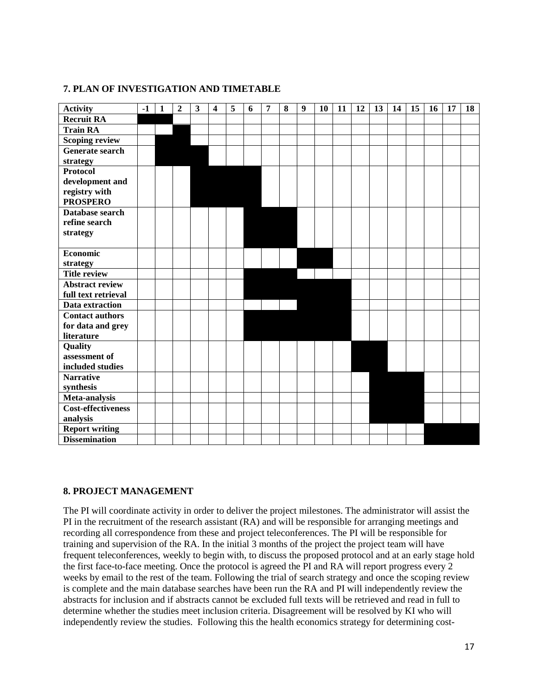# **7. PLAN OF INVESTIGATION AND TIMETABLE**

| <b>Activity</b>           | $-1$ | $\mathbf{1}$ | $\boldsymbol{2}$ | 3 | 4 | 5 | 6 | 7 | 8 | 9 | 10 | 11 | 12 | 13 | 14 | 15 | 16 | 17 | 18 |
|---------------------------|------|--------------|------------------|---|---|---|---|---|---|---|----|----|----|----|----|----|----|----|----|
| <b>Recruit RA</b>         |      |              |                  |   |   |   |   |   |   |   |    |    |    |    |    |    |    |    |    |
| <b>Train RA</b>           |      |              |                  |   |   |   |   |   |   |   |    |    |    |    |    |    |    |    |    |
| <b>Scoping review</b>     |      |              |                  |   |   |   |   |   |   |   |    |    |    |    |    |    |    |    |    |
| <b>Generate search</b>    |      |              |                  |   |   |   |   |   |   |   |    |    |    |    |    |    |    |    |    |
| strategy                  |      |              |                  |   |   |   |   |   |   |   |    |    |    |    |    |    |    |    |    |
| <b>Protocol</b>           |      |              |                  |   |   |   |   |   |   |   |    |    |    |    |    |    |    |    |    |
| development and           |      |              |                  |   |   |   |   |   |   |   |    |    |    |    |    |    |    |    |    |
| registry with             |      |              |                  |   |   |   |   |   |   |   |    |    |    |    |    |    |    |    |    |
| <b>PROSPERO</b>           |      |              |                  |   |   |   |   |   |   |   |    |    |    |    |    |    |    |    |    |
| Database search           |      |              |                  |   |   |   |   |   |   |   |    |    |    |    |    |    |    |    |    |
| refine search             |      |              |                  |   |   |   |   |   |   |   |    |    |    |    |    |    |    |    |    |
| strategy                  |      |              |                  |   |   |   |   |   |   |   |    |    |    |    |    |    |    |    |    |
|                           |      |              |                  |   |   |   |   |   |   |   |    |    |    |    |    |    |    |    |    |
| <b>Economic</b>           |      |              |                  |   |   |   |   |   |   |   |    |    |    |    |    |    |    |    |    |
| strategy                  |      |              |                  |   |   |   |   |   |   |   |    |    |    |    |    |    |    |    |    |
| <b>Title review</b>       |      |              |                  |   |   |   |   |   |   |   |    |    |    |    |    |    |    |    |    |
| <b>Abstract review</b>    |      |              |                  |   |   |   |   |   |   |   |    |    |    |    |    |    |    |    |    |
| full text retrieval       |      |              |                  |   |   |   |   |   |   |   |    |    |    |    |    |    |    |    |    |
| Data extraction           |      |              |                  |   |   |   |   |   |   |   |    |    |    |    |    |    |    |    |    |
| <b>Contact authors</b>    |      |              |                  |   |   |   |   |   |   |   |    |    |    |    |    |    |    |    |    |
| for data and grey         |      |              |                  |   |   |   |   |   |   |   |    |    |    |    |    |    |    |    |    |
| literature                |      |              |                  |   |   |   |   |   |   |   |    |    |    |    |    |    |    |    |    |
| Quality                   |      |              |                  |   |   |   |   |   |   |   |    |    |    |    |    |    |    |    |    |
| assessment of             |      |              |                  |   |   |   |   |   |   |   |    |    |    |    |    |    |    |    |    |
| included studies          |      |              |                  |   |   |   |   |   |   |   |    |    |    |    |    |    |    |    |    |
| <b>Narrative</b>          |      |              |                  |   |   |   |   |   |   |   |    |    |    |    |    |    |    |    |    |
| synthesis                 |      |              |                  |   |   |   |   |   |   |   |    |    |    |    |    |    |    |    |    |
| Meta-analysis             |      |              |                  |   |   |   |   |   |   |   |    |    |    |    |    |    |    |    |    |
| <b>Cost-effectiveness</b> |      |              |                  |   |   |   |   |   |   |   |    |    |    |    |    |    |    |    |    |
| analysis                  |      |              |                  |   |   |   |   |   |   |   |    |    |    |    |    |    |    |    |    |
| <b>Report writing</b>     |      |              |                  |   |   |   |   |   |   |   |    |    |    |    |    |    |    |    |    |
| <b>Dissemination</b>      |      |              |                  |   |   |   |   |   |   |   |    |    |    |    |    |    |    |    |    |

# **8. PROJECT MANAGEMENT**

The PI will coordinate activity in order to deliver the project milestones. The administrator will assist the PI in the recruitment of the research assistant (RA) and will be responsible for arranging meetings and recording all correspondence from these and project teleconferences. The PI will be responsible for training and supervision of the RA. In the initial 3 months of the project the project team will have frequent teleconferences, weekly to begin with, to discuss the proposed protocol and at an early stage hold the first face-to-face meeting. Once the protocol is agreed the PI and RA will report progress every 2 weeks by email to the rest of the team. Following the trial of search strategy and once the scoping review is complete and the main database searches have been run the RA and PI will independently review the abstracts for inclusion and if abstracts cannot be excluded full texts will be retrieved and read in full to determine whether the studies meet inclusion criteria. Disagreement will be resolved by KI who will independently review the studies. Following this the health economics strategy for determining cost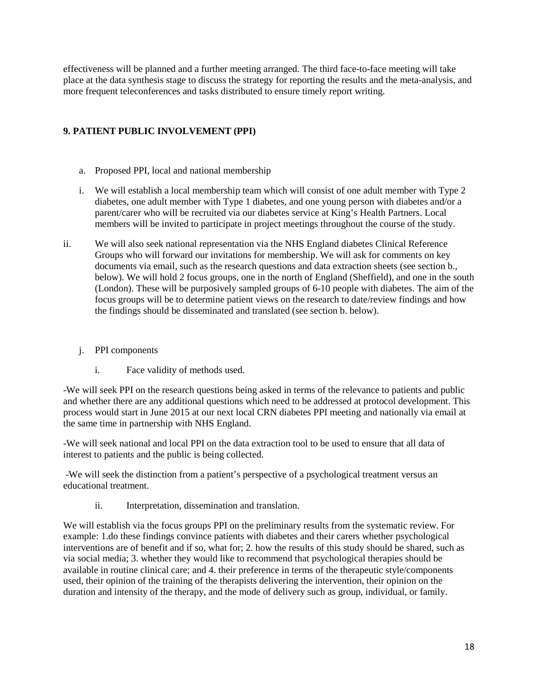effectiveness will be planned and a further meeting arranged. The third face-to-face meeting will take place at the data synthesis stage to discuss the strategy for reporting the results and the meta-analysis, and more frequent teleconferences and tasks distributed to ensure timely report writing.

# **9. PATIENT PUBLIC INVOLVEMENT (PPI)**

- a. Proposed PPI, local and national membership
- i. We will establish a local membership team which will consist of one adult member with Type 2 diabetes, one adult member with Type 1 diabetes, and one young person with diabetes and/or a parent/carer who will be recruited via our diabetes service at King's Health Partners. Local members will be invited to participate in project meetings throughout the course of the study.
- ii. We will also seek national representation via the NHS England diabetes Clinical Reference Groups who will forward our invitations for membership. We will ask for comments on key documents via email, such as the research questions and data extraction sheets (see section b., below). We will hold 2 focus groups, one in the north of England (Sheffield), and one in the south (London). These will be purposively sampled groups of 6-10 people with diabetes. The aim of the focus groups will be to determine patient views on the research to date/review findings and how the findings should be disseminated and translated (see section b. below).
	- j. PPI components
		- i. Face validity of methods used.

-We will seek PPI on the research questions being asked in terms of the relevance to patients and public and whether there are any additional questions which need to be addressed at protocol development. This process would start in June 2015 at our next local CRN diabetes PPI meeting and nationally via email at the same time in partnership with NHS England.

-We will seek national and local PPI on the data extraction tool to be used to ensure that all data of interest to patients and the public is being collected.

-We will seek the distinction from a patient's perspective of a psychological treatment versus an educational treatment.

ii. Interpretation, dissemination and translation.

We will establish via the focus groups PPI on the preliminary results from the systematic review. For example: 1.do these findings convince patients with diabetes and their carers whether psychological interventions are of benefit and if so, what for; 2. how the results of this study should be shared, such as via social media; 3. whether they would like to recommend that psychological therapies should be available in routine clinical care; and 4. their preference in terms of the therapeutic style/components used, their opinion of the training of the therapists delivering the intervention, their opinion on the duration and intensity of the therapy, and the mode of delivery such as group, individual, or family.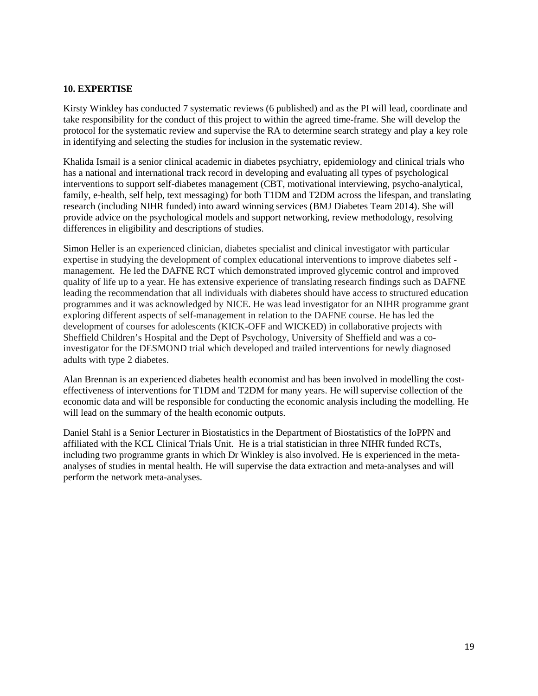### **10. EXPERTISE**

Kirsty Winkley has conducted 7 systematic reviews (6 published) and as the PI will lead, coordinate and take responsibility for the conduct of this project to within the agreed time-frame. She will develop the protocol for the systematic review and supervise the RA to determine search strategy and play a key role in identifying and selecting the studies for inclusion in the systematic review.

Khalida Ismail is a senior clinical academic in diabetes psychiatry, epidemiology and clinical trials who has a national and international track record in developing and evaluating all types of psychological interventions to support self-diabetes management (CBT, motivational interviewing, psycho-analytical, family, e-health, self help, text messaging) for both T1DM and T2DM across the lifespan, and translating research (including NIHR funded) into award winning services (BMJ Diabetes Team 2014). She will provide advice on the psychological models and support networking, review methodology, resolving differences in eligibility and descriptions of studies.

Simon Heller is an experienced clinician, diabetes specialist and clinical investigator with particular expertise in studying the development of complex educational interventions to improve diabetes self management. He led the DAFNE RCT which demonstrated improved glycemic control and improved quality of life up to a year. He has extensive experience of translating research findings such as DAFNE leading the recommendation that all individuals with diabetes should have access to structured education programmes and it was acknowledged by NICE. He was lead investigator for an NIHR programme grant exploring different aspects of self-management in relation to the DAFNE course. He has led the development of courses for adolescents (KICK-OFF and WICKED) in collaborative projects with Sheffield Children's Hospital and the Dept of Psychology, University of Sheffield and was a coinvestigator for the DESMOND trial which developed and trailed interventions for newly diagnosed adults with type 2 diabetes.

Alan Brennan is an experienced diabetes health economist and has been involved in modelling the costeffectiveness of interventions for T1DM and T2DM for many years. He will supervise collection of the economic data and will be responsible for conducting the economic analysis including the modelling. He will lead on the summary of the health economic outputs.

Daniel Stahl is a Senior Lecturer in Biostatistics in the Department of Biostatistics of the IoPPN and affiliated with the KCL Clinical Trials Unit. He is a trial statistician in three NIHR funded RCTs, including two programme grants in which Dr Winkley is also involved. He is experienced in the metaanalyses of studies in mental health. He will supervise the data extraction and meta-analyses and will perform the network meta-analyses.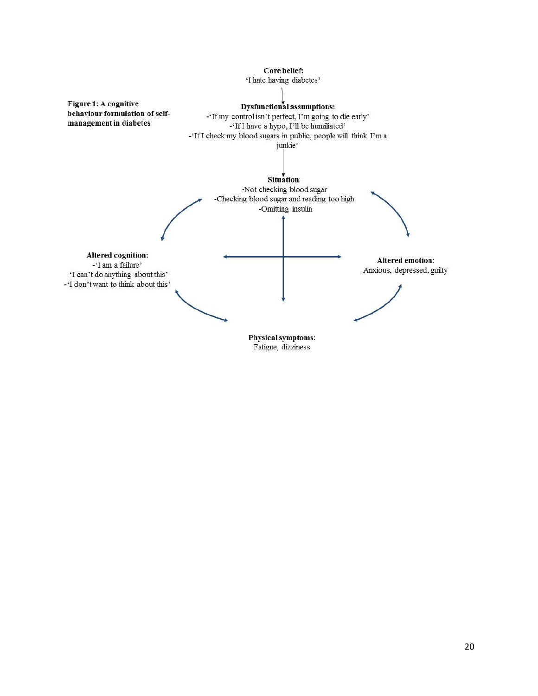

Fatigue, dizziness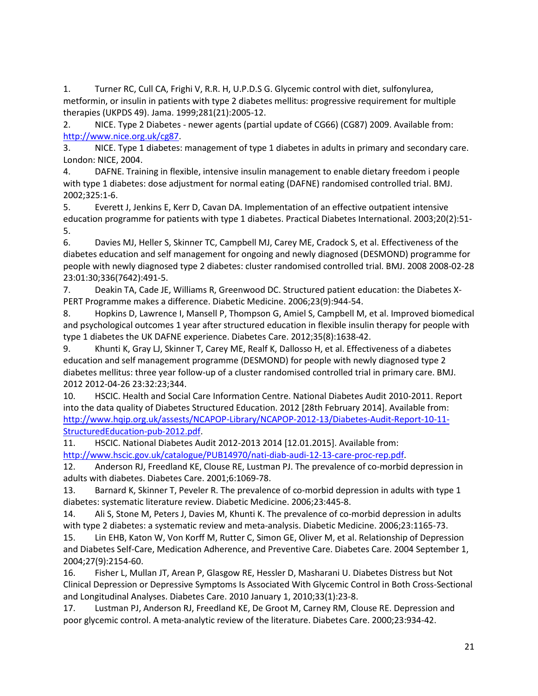<span id="page-20-0"></span>1. Turner RC, Cull CA, Frighi V, R.R. H, U.P.D.S G. Glycemic control with diet, sulfonylurea, metformin, or insulin in patients with type 2 diabetes mellitus: progressive requirement for multiple therapies (UKPDS 49). Jama. 1999;281(21):2005-12.

<span id="page-20-1"></span>2. NICE. Type 2 Diabetes - newer agents (partial update of CG66) (CG87) 2009. Available from: [http://www.nice.org.uk/cg87.](http://www.nice.org.uk/cg87)

<span id="page-20-2"></span>3. NICE. Type 1 diabetes: management of type 1 diabetes in adults in primary and secondary care. London: NICE, 2004.

<span id="page-20-3"></span>4. DAFNE. Training in flexible, intensive insulin management to enable dietary freedom i people with type 1 diabetes: dose adjustment for normal eating (DAFNE) randomised controlled trial. BMJ. 2002;325:1-6.

<span id="page-20-4"></span>5. Everett J, Jenkins E, Kerr D, Cavan DA. Implementation of an effective outpatient intensive education programme for patients with type 1 diabetes. Practical Diabetes International. 2003;20(2):51- 5.

<span id="page-20-5"></span>6. Davies MJ, Heller S, Skinner TC, Campbell MJ, Carey ME, Cradock S, et al. Effectiveness of the diabetes education and self management for ongoing and newly diagnosed (DESMOND) programme for people with newly diagnosed type 2 diabetes: cluster randomised controlled trial. BMJ. 2008 2008-02-28 23:01:30;336(7642):491-5.

<span id="page-20-6"></span>7. Deakin TA, Cade JE, Williams R, Greenwood DC. Structured patient education: the Diabetes X-PERT Programme makes a difference. Diabetic Medicine. 2006;23(9):944-54.

<span id="page-20-7"></span>8. Hopkins D, Lawrence I, Mansell P, Thompson G, Amiel S, Campbell M, et al. Improved biomedical and psychological outcomes 1 year after structured education in flexible insulin therapy for people with type 1 diabetes the UK DAFNE experience. Diabetes Care. 2012;35(8):1638-42.

<span id="page-20-8"></span>9. Khunti K, Gray LJ, Skinner T, Carey ME, Realf K, Dallosso H, et al. Effectiveness of a diabetes education and self management programme (DESMOND) for people with newly diagnosed type 2 diabetes mellitus: three year follow-up of a cluster randomised controlled trial in primary care. BMJ. 2012 2012-04-26 23:32:23;344.

<span id="page-20-9"></span>10. HSCIC. Health and Social Care Information Centre. National Diabetes Audit 2010-2011. Report into the data quality of Diabetes Structured Education. 2012 [28th February 2014]. Available from: [http://www.hqip.org.uk/assests/NCAPOP-Library/NCAPOP-2012-13/Diabetes-Audit-Report-10-11-](http://www.hqip.org.uk/assests/NCAPOP-Library/NCAPOP-2012-13/Diabetes-Audit-Report-10-11-StructuredEducation-pub-2012.pdf) [StructuredEducation-pub-2012.pdf.](http://www.hqip.org.uk/assests/NCAPOP-Library/NCAPOP-2012-13/Diabetes-Audit-Report-10-11-StructuredEducation-pub-2012.pdf)

<span id="page-20-10"></span>11. HSCIC. National Diabetes Audit 2012-2013 2014 [12.01.2015]. Available from: [http://www.hscic.gov.uk/catalogue/PUB14970/nati-diab-audi-12-13-care-proc-rep.pdf.](http://www.hscic.gov.uk/catalogue/PUB14970/nati-diab-audi-12-13-care-proc-rep.pdf)

<span id="page-20-11"></span>12. Anderson RJ, Freedland KE, Clouse RE, Lustman PJ. The prevalence of co-morbid depression in adults with diabetes. Diabetes Care. 2001;6:1069-78.

13. Barnard K, Skinner T, Peveler R. The prevalence of co-morbid depression in adults with type 1 diabetes: systematic literature review. Diabetic Medicine. 2006;23:445-8.

14. Ali S, Stone M, Peters J, Davies M, Khunti K. The prevalence of co-morbid depression in adults with type 2 diabetes: a systematic review and meta-analysis. Diabetic Medicine. 2006;23:1165-73.

<span id="page-20-12"></span>15. Lin EHB, Katon W, Von Korff M, Rutter C, Simon GE, Oliver M, et al. Relationship of Depression and Diabetes Self-Care, Medication Adherence, and Preventive Care. Diabetes Care. 2004 September 1, 2004;27(9):2154-60.

<span id="page-20-13"></span>16. Fisher L, Mullan JT, Arean P, Glasgow RE, Hessler D, Masharani U. Diabetes Distress but Not Clinical Depression or Depressive Symptoms Is Associated With Glycemic Control in Both Cross-Sectional and Longitudinal Analyses. Diabetes Care. 2010 January 1, 2010;33(1):23-8.

<span id="page-20-14"></span>17. Lustman PJ, Anderson RJ, Freedland KE, De Groot M, Carney RM, Clouse RE. Depression and poor glycemic control. A meta-analytic review of the literature. Diabetes Care. 2000;23:934-42.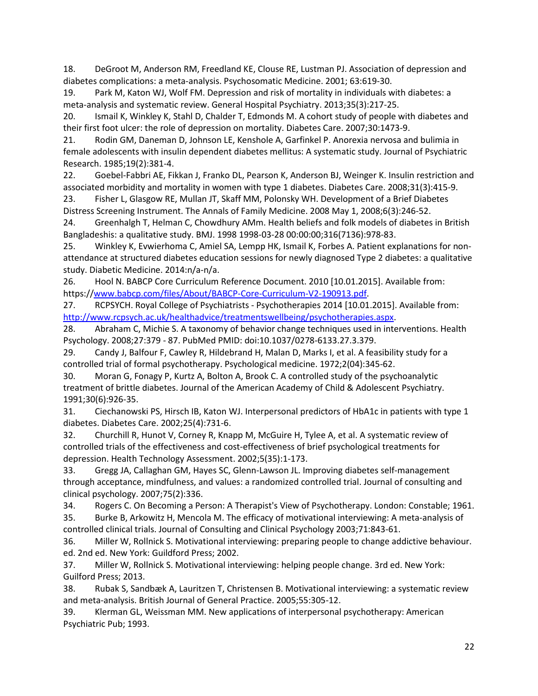<span id="page-21-0"></span>18. DeGroot M, Anderson RM, Freedland KE, Clouse RE, Lustman PJ. Association of depression and diabetes complications: a meta-analysis. Psychosomatic Medicine. 2001; 63:619-30.

<span id="page-21-1"></span>19. Park M, Katon WJ, Wolf FM. Depression and risk of mortality in individuals with diabetes: a meta-analysis and systematic review. General Hospital Psychiatry. 2013;35(3):217-25.

<span id="page-21-2"></span>20. Ismail K, Winkley K, Stahl D, Chalder T, Edmonds M. A cohort study of people with diabetes and their first foot ulcer: the role of depression on mortality. Diabetes Care. 2007;30:1473-9.

<span id="page-21-3"></span>21. Rodin GM, Daneman D, Johnson LE, Kenshole A, Garfinkel P. Anorexia nervosa and bulimia in female adolescents with insulin dependent diabetes mellitus: A systematic study. Journal of Psychiatric Research. 1985;19(2):381-4.

<span id="page-21-4"></span>22. Goebel-Fabbri AE, Fikkan J, Franko DL, Pearson K, Anderson BJ, Weinger K. Insulin restriction and associated morbidity and mortality in women with type 1 diabetes. Diabetes Care. 2008;31(3):415-9.

<span id="page-21-5"></span>23. Fisher L, Glasgow RE, Mullan JT, Skaff MM, Polonsky WH. Development of a Brief Diabetes Distress Screening Instrument. The Annals of Family Medicine. 2008 May 1, 2008;6(3):246-52.

<span id="page-21-6"></span>24. Greenhalgh T, Helman C, Chowdhury AMm. Health beliefs and folk models of diabetes in British Bangladeshis: a qualitative study. BMJ. 1998 1998-03-28 00:00:00;316(7136):978-83.

<span id="page-21-7"></span>25. Winkley K, Evwierhoma C, Amiel SA, Lempp HK, Ismail K, Forbes A. Patient explanations for nonattendance at structured diabetes education sessions for newly diagnosed Type 2 diabetes: a qualitative study. Diabetic Medicine. 2014:n/a-n/a.

<span id="page-21-8"></span>26. Hool N. BABCP Core Curriculum Reference Document. 2010 [10.01.2015]. Available from: https:/[/www.babcp.com/files/About/BABCP-Core-Curriculum-V2-190913.pdf.](http://www.babcp.com/files/About/BABCP-Core-Curriculum-V2-190913.pdf)

<span id="page-21-18"></span>27. RCPSYCH. Royal College of Psychiatrists - Psychotherapies 2014 [10.01.2015]. Available from: [http://www.rcpsych.ac.uk/healthadvice/treatmentswellbeing/psychotherapies.aspx.](http://www.rcpsych.ac.uk/healthadvice/treatmentswellbeing/psychotherapies.aspx)

28. Abraham C, Michie S. A taxonomy of behavior change techniques used in interventions. Health Psychology. 2008;27:379 - 87. PubMed PMID: doi:10.1037/0278-6133.27.3.379.

<span id="page-21-9"></span>29. Candy J, Balfour F, Cawley R, Hildebrand H, Malan D, Marks I, et al. A feasibility study for a controlled trial of formal psychotherapy. Psychological medicine. 1972;2(04):345-62.

30. Moran G, Fonagy P, Kurtz A, Bolton A, Brook C. A controlled study of the psychoanalytic treatment of brittle diabetes. Journal of the American Academy of Child & Adolescent Psychiatry. 1991;30(6):926-35.

31. Ciechanowski PS, Hirsch IB, Katon WJ. Interpersonal predictors of HbA1c in patients with type 1 diabetes. Diabetes Care. 2002;25(4):731-6.

<span id="page-21-10"></span>32. Churchill R, Hunot V, Corney R, Knapp M, McGuire H, Tylee A, et al. A systematic review of controlled trials of the effectiveness and cost-effectiveness of brief psychological treatments for depression. Health Technology Assessment. 2002;5(35):1-173.

<span id="page-21-11"></span>33. Gregg JA, Callaghan GM, Hayes SC, Glenn-Lawson JL. Improving diabetes self-management through acceptance, mindfulness, and values: a randomized controlled trial. Journal of consulting and clinical psychology. 2007;75(2):336.

<span id="page-21-12"></span>34. Rogers C. On Becoming a Person: A Therapist's View of Psychotherapy. London: Constable; 1961.

<span id="page-21-13"></span>35. Burke B, Arkowitz H, Mencola M. The efficacy of motivational interviewing: A meta-analysis of controlled clinical trials. Journal of Consulting and Clinical Psychology 2003;71:843-61.

<span id="page-21-14"></span>36. Miller W, Rollnick S. Motivational interviewing: preparing people to change addictive behaviour. ed. 2nd ed. New York: Guildford Press; 2002.

<span id="page-21-15"></span>37. Miller W, Rollnick S. Motivational interviewing: helping people change. 3rd ed. New York: Guilford Press; 2013.

<span id="page-21-16"></span>38. Rubak S, Sandbæk A, Lauritzen T, Christensen B. Motivational interviewing: a systematic review and meta-analysis. British Journal of General Practice. 2005;55:305-12.

<span id="page-21-17"></span>39. Klerman GL, Weissman MM. New applications of interpersonal psychotherapy: American Psychiatric Pub; 1993.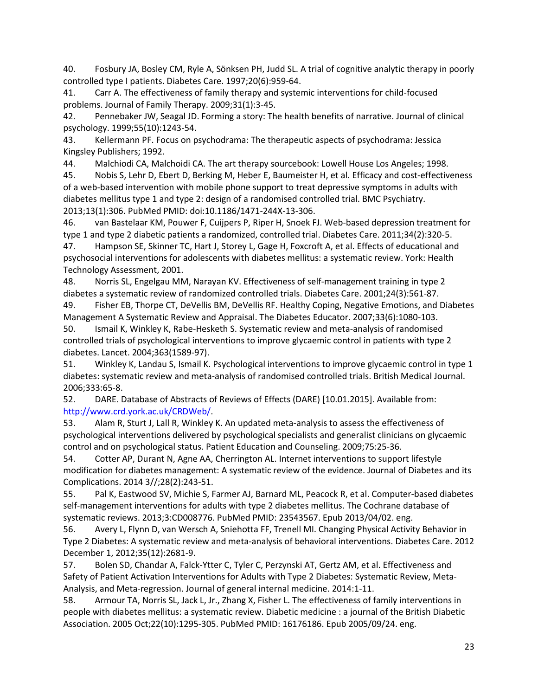<span id="page-22-0"></span>40. Fosbury JA, Bosley CM, Ryle A, Sönksen PH, Judd SL. A trial of cognitive analytic therapy in poorly controlled type I patients. Diabetes Care. 1997;20(6):959-64.

<span id="page-22-1"></span>41. Carr A. The effectiveness of family therapy and systemic interventions for child-focused problems. Journal of Family Therapy. 2009;31(1):3-45.

<span id="page-22-2"></span>42. Pennebaker JW, Seagal JD. Forming a story: The health benefits of narrative. Journal of clinical psychology. 1999;55(10):1243-54.

<span id="page-22-3"></span>43. Kellermann PF. Focus on psychodrama: The therapeutic aspects of psychodrama: Jessica Kingsley Publishers; 1992.

<span id="page-22-4"></span>44. Malchiodi CA, Malchoidi CA. The art therapy sourcebook: Lowell House Los Angeles; 1998.

<span id="page-22-5"></span>45. Nobis S, Lehr D, Ebert D, Berking M, Heber E, Baumeister H, et al. Efficacy and cost-effectiveness of a web-based intervention with mobile phone support to treat depressive symptoms in adults with diabetes mellitus type 1 and type 2: design of a randomised controlled trial. BMC Psychiatry. 2013;13(1):306. PubMed PMID: doi:10.1186/1471-244X-13-306.

<span id="page-22-6"></span>46. van Bastelaar KM, Pouwer F, Cuijpers P, Riper H, Snoek FJ. Web-based depression treatment for type 1 and type 2 diabetic patients a randomized, controlled trial. Diabetes Care. 2011;34(2):320-5.

<span id="page-22-7"></span>47. Hampson SE, Skinner TC, Hart J, Storey L, Gage H, Foxcroft A, et al. Effects of educational and psychosocial interventions for adolescents with diabetes mellitus: a systematic review. York: Health Technology Assessment, 2001.

48. Norris SL, Engelgau MM, Narayan KV. Effectiveness of self-management training in type 2 diabetes a systematic review of randomized controlled trials. Diabetes Care. 2001;24(3):561-87.

49. Fisher EB, Thorpe CT, DeVellis BM, DeVellis RF. Healthy Coping, Negative Emotions, and Diabetes Management A Systematic Review and Appraisal. The Diabetes Educator. 2007;33(6):1080-103.

<span id="page-22-8"></span>50. Ismail K, Winkley K, Rabe-Hesketh S. Systematic review and meta-analysis of randomised controlled trials of psychological interventions to improve glycaemic control in patients with type 2 diabetes. Lancet. 2004;363(1589-97).

<span id="page-22-9"></span>51. Winkley K, Landau S, Ismail K. Psychological interventions to improve glycaemic control in type 1 diabetes: systematic review and meta-analysis of randomised controlled trials. British Medical Journal. 2006;333:65-8.

<span id="page-22-10"></span>52. DARE. Database of Abstracts of Reviews of Effects (DARE) [10.01.2015]. Available from: [http://www.crd.york.ac.uk/CRDWeb/.](http://www.crd.york.ac.uk/CRDWeb/)

<span id="page-22-11"></span>53. Alam R, Sturt J, Lall R, Winkley K. An updated meta-analysis to assess the effectiveness of psychological interventions delivered by psychological specialists and generalist clinicians on glycaemic control and on psychological status. Patient Education and Counseling. 2009;75:25-36.

<span id="page-22-12"></span>54. Cotter AP, Durant N, Agne AA, Cherrington AL. Internet interventions to support lifestyle modification for diabetes management: A systematic review of the evidence. Journal of Diabetes and its Complications. 2014 3//;28(2):243-51.

<span id="page-22-13"></span>55. Pal K, Eastwood SV, Michie S, Farmer AJ, Barnard ML, Peacock R, et al. Computer-based diabetes self-management interventions for adults with type 2 diabetes mellitus. The Cochrane database of systematic reviews. 2013;3:CD008776. PubMed PMID: 23543567. Epub 2013/04/02. eng.

<span id="page-22-14"></span>56. Avery L, Flynn D, van Wersch A, Sniehotta FF, Trenell MI. Changing Physical Activity Behavior in Type 2 Diabetes: A systematic review and meta-analysis of behavioral interventions. Diabetes Care. 2012 December 1, 2012;35(12):2681-9.

<span id="page-22-15"></span>57. Bolen SD, Chandar A, Falck-Ytter C, Tyler C, Perzynski AT, Gertz AM, et al. Effectiveness and Safety of Patient Activation Interventions for Adults with Type 2 Diabetes: Systematic Review, Meta-Analysis, and Meta-regression. Journal of general internal medicine. 2014:1-11.

<span id="page-22-16"></span>58. Armour TA, Norris SL, Jack L, Jr., Zhang X, Fisher L. The effectiveness of family interventions in people with diabetes mellitus: a systematic review. Diabetic medicine : a journal of the British Diabetic Association. 2005 Oct;22(10):1295-305. PubMed PMID: 16176186. Epub 2005/09/24. eng.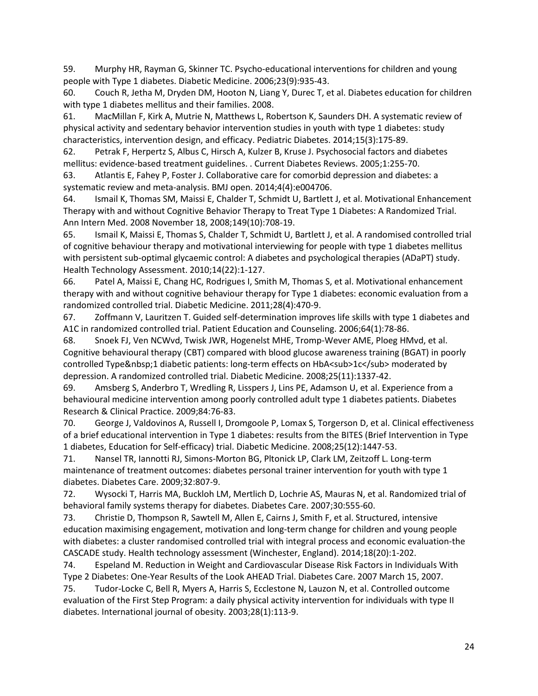<span id="page-23-0"></span>59. Murphy HR, Rayman G, Skinner TC. Psycho-educational interventions for children and young people with Type 1 diabetes. Diabetic Medicine. 2006;23(9):935-43.

<span id="page-23-1"></span>60. Couch R, Jetha M, Dryden DM, Hooton N, Liang Y, Durec T, et al. Diabetes education for children with type 1 diabetes mellitus and their families. 2008.

<span id="page-23-2"></span>61. MacMillan F, Kirk A, Mutrie N, Matthews L, Robertson K, Saunders DH. A systematic review of physical activity and sedentary behavior intervention studies in youth with type 1 diabetes: study characteristics, intervention design, and efficacy. Pediatric Diabetes. 2014;15(3):175-89.

<span id="page-23-3"></span>62. Petrak F, Herpertz S, Albus C, Hirsch A, Kulzer B, Kruse J. Psychosocial factors and diabetes mellitus: evidence-based treatment guidelines. . Current Diabetes Reviews. 2005;1:255-70.

<span id="page-23-4"></span>63. Atlantis E, Fahey P, Foster J. Collaborative care for comorbid depression and diabetes: a systematic review and meta-analysis. BMJ open. 2014;4(4):e004706.

<span id="page-23-5"></span>64. Ismail K, Thomas SM, Maissi E, Chalder T, Schmidt U, Bartlett J, et al. Motivational Enhancement Therapy with and without Cognitive Behavior Therapy to Treat Type 1 Diabetes: A Randomized Trial. Ann Intern Med. 2008 November 18, 2008;149(10):708-19.

65. Ismail K, Maissi E, Thomas S, Chalder T, Schmidt U, Bartlett J, et al. A randomised controlled trial of cognitive behaviour therapy and motivational interviewing for people with type 1 diabetes mellitus with persistent sub-optimal glycaemic control: A diabetes and psychological therapies (ADaPT) study. Health Technology Assessment. 2010;14(22):1-127.

<span id="page-23-12"></span>66. Patel A, Maissi E, Chang HC, Rodrigues I, Smith M, Thomas S, et al. Motivational enhancement therapy with and without cognitive behaviour therapy for Type 1 diabetes: economic evaluation from a randomized controlled trial. Diabetic Medicine. 2011;28(4):470-9.

<span id="page-23-6"></span>67. Zoffmann V, Lauritzen T. Guided self-determination improves life skills with type 1 diabetes and A1C in randomized controlled trial. Patient Education and Counseling. 2006;64(1):78-86.

68. Snoek FJ, Ven NCWvd, Twisk JWR, Hogenelst MHE, Tromp-Wever AME, Ploeg HMvd, et al. Cognitive behavioural therapy (CBT) compared with blood glucose awareness training (BGAT) in poorly controlled Type 1 diabetic patients: long-term effects on HbA<sub>1c</sub> moderated by depression. A randomized controlled trial. Diabetic Medicine. 2008;25(11):1337-42.

69. Amsberg S, Anderbro T, Wredling R, Lisspers J, Lins PE, Adamson U, et al. Experience from a behavioural medicine intervention among poorly controlled adult type 1 diabetes patients. Diabetes Research & Clinical Practice. 2009;84:76-83.

70. George J, Valdovinos A, Russell I, Dromgoole P, Lomax S, Torgerson D, et al. Clinical effectiveness of a brief educational intervention in Type 1 diabetes: results from the BITES (Brief Intervention in Type 1 diabetes, Education for Self-efficacy) trial. Diabetic Medicine. 2008;25(12):1447-53.

<span id="page-23-7"></span>71. Nansel TR, Iannotti RJ, Simons-Morton BG, Pltonick LP, Clark LM, Zeitzoff L. Long-term maintenance of treatment outcomes: diabetes personal trainer intervention for youth with type 1 diabetes. Diabetes Care. 2009;32:807-9.

<span id="page-23-8"></span>72. Wysocki T, Harris MA, Buckloh LM, Mertlich D, Lochrie AS, Mauras N, et al. Randomized trial of behavioral family systems therapy for diabetes. Diabetes Care. 2007;30:555-60.

<span id="page-23-9"></span>73. Christie D, Thompson R, Sawtell M, Allen E, Cairns J, Smith F, et al. Structured, intensive education maximising engagement, motivation and long-term change for children and young people with diabetes: a cluster randomised controlled trial with integral process and economic evaluation-the CASCADE study. Health technology assessment (Winchester, England). 2014;18(20):1-202.

<span id="page-23-10"></span>74. Espeland M. Reduction in Weight and Cardiovascular Disease Risk Factors in Individuals With Type 2 Diabetes: One-Year Results of the Look AHEAD Trial. Diabetes Care. 2007 March 15, 2007.

<span id="page-23-11"></span>75. Tudor-Locke C, Bell R, Myers A, Harris S, Ecclestone N, Lauzon N, et al. Controlled outcome evaluation of the First Step Program: a daily physical activity intervention for individuals with type II diabetes. International journal of obesity. 2003;28(1):113-9.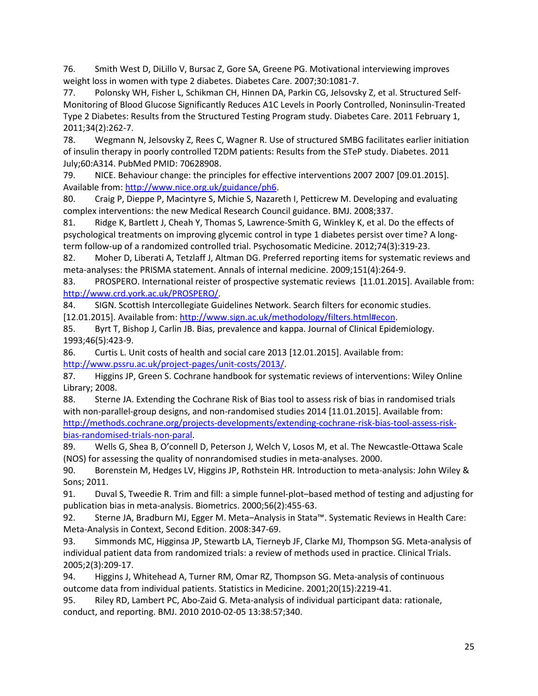<span id="page-24-0"></span>76. Smith West D, DiLillo V, Bursac Z, Gore SA, Greene PG. Motivational interviewing improves weight loss in women with type 2 diabetes. Diabetes Care. 2007;30:1081-7.

<span id="page-24-1"></span>77. Polonsky WH, Fisher L, Schikman CH, Hinnen DA, Parkin CG, Jelsovsky Z, et al. Structured Self-Monitoring of Blood Glucose Significantly Reduces A1C Levels in Poorly Controlled, Noninsulin-Treated Type 2 Diabetes: Results from the Structured Testing Program study. Diabetes Care. 2011 February 1, 2011;34(2):262-7.

<span id="page-24-2"></span>78. Wegmann N, Jelsovsky Z, Rees C, Wagner R. Use of structured SMBG facilitates earlier initiation of insulin therapy in poorly controlled T2DM patients: Results from the STeP study. Diabetes. 2011 July;60:A314. PubMed PMID: 70628908.

<span id="page-24-3"></span>79. NICE. Behaviour change: the principles for effective interventions 2007 2007 [09.01.2015]. Available from: [http://www.nice.org.uk/guidance/ph6.](http://www.nice.org.uk/guidance/ph6)

<span id="page-24-4"></span>80. Craig P, Dieppe P, Macintyre S, Michie S, Nazareth I, Petticrew M. Developing and evaluating complex interventions: the new Medical Research Council guidance. BMJ. 2008;337.

<span id="page-24-5"></span>81. Ridge K, Bartlett J, Cheah Y, Thomas S, Lawrence-Smith G, Winkley K, et al. Do the effects of psychological treatments on improving glycemic control in type 1 diabetes persist over time? A longterm follow-up of a randomized controlled trial. Psychosomatic Medicine. 2012;74(3):319-23.

<span id="page-24-6"></span>82. Moher D, Liberati A, Tetzlaff J, Altman DG. Preferred reporting items for systematic reviews and meta-analyses: the PRISMA statement. Annals of internal medicine. 2009;151(4):264-9.

<span id="page-24-7"></span>83. PROSPERO. International reister of prospective systematic reviews [11.01.2015]. Available from: [http://www.crd.york.ac.uk/PROSPERO/.](http://www.crd.york.ac.uk/PROSPERO/)

<span id="page-24-8"></span>84. SIGN. Scottish Intercollegiate Guidelines Network. Search filters for economic studies.

[12.01.2015]. Available from[: http://www.sign.ac.uk/methodology/filters.html#econ.](http://www.sign.ac.uk/methodology/filters.html%23econ)

<span id="page-24-9"></span>85. Byrt T, Bishop J, Carlin JB. Bias, prevalence and kappa. Journal of Clinical Epidemiology. 1993;46(5):423-9.

<span id="page-24-10"></span>86. Curtis L. Unit costs of health and social care 2013 [12.01.2015]. Available from: [http://www.pssru.ac.uk/project-pages/unit-costs/2013/.](http://www.pssru.ac.uk/project-pages/unit-costs/2013/)

<span id="page-24-11"></span>87. Higgins JP, Green S. Cochrane handbook for systematic reviews of interventions: Wiley Online Library; 2008.

<span id="page-24-12"></span>88. Sterne JA. Extending the Cochrane Risk of Bias tool to assess risk of bias in randomised trials with non-parallel-group designs, and non-randomised studies 2014 [11.01.2015]. Available from: [http://methods.cochrane.org/projects-developments/extending-cochrane-risk-bias-tool-assess-risk](http://methods.cochrane.org/projects-developments/extending-cochrane-risk-bias-tool-assess-risk-bias-randomised-trials-non-paral)[bias-randomised-trials-non-paral.](http://methods.cochrane.org/projects-developments/extending-cochrane-risk-bias-tool-assess-risk-bias-randomised-trials-non-paral)

<span id="page-24-13"></span>89. Wells G, Shea B, O'connell D, Peterson J, Welch V, Losos M, et al. The Newcastle-Ottawa Scale (NOS) for assessing the quality of nonrandomised studies in meta-analyses. 2000.

<span id="page-24-14"></span>90. Borenstein M, Hedges LV, Higgins JP, Rothstein HR. Introduction to meta-analysis: John Wiley & Sons; 2011.

<span id="page-24-15"></span>91. Duval S, Tweedie R. Trim and fill: a simple funnel-plot–based method of testing and adjusting for publication bias in meta-analysis. Biometrics. 2000;56(2):455-63.

<span id="page-24-16"></span>92. Sterne JA, Bradburn MJ, Egger M. Meta–Analysis in Stata™. Systematic Reviews in Health Care: Meta-Analysis in Context, Second Edition. 2008:347-69.

<span id="page-24-17"></span>93. Simmonds MC, Higginsa JP, Stewartb LA, Tierneyb JF, Clarke MJ, Thompson SG. Meta-analysis of individual patient data from randomized trials: a review of methods used in practice. Clinical Trials. 2005;2(3):209-17.

<span id="page-24-18"></span>94. Higgins J, Whitehead A, Turner RM, Omar RZ, Thompson SG. Meta-analysis of continuous outcome data from individual patients. Statistics in Medicine. 2001;20(15):2219-41.

<span id="page-24-19"></span>95. Riley RD, Lambert PC, Abo-Zaid G. Meta-analysis of individual participant data: rationale, conduct, and reporting. BMJ. 2010 2010-02-05 13:38:57;340.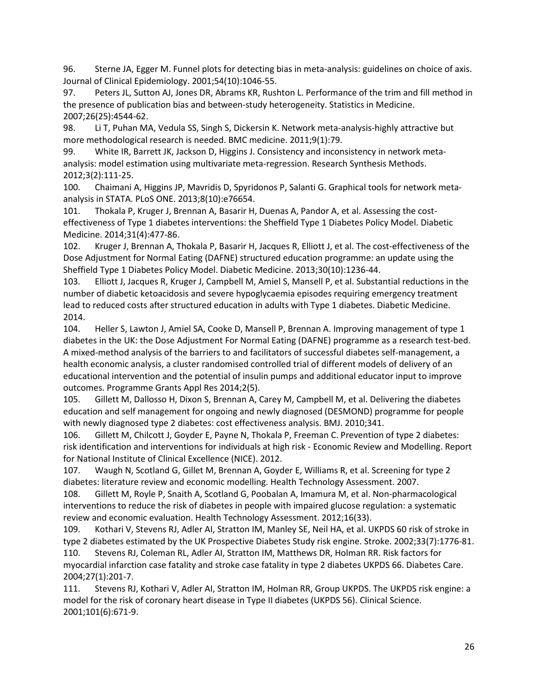<span id="page-25-0"></span>96. Sterne JA, Egger M. Funnel plots for detecting bias in meta-analysis: guidelines on choice of axis. Journal of Clinical Epidemiology. 2001;54(10):1046-55.

<span id="page-25-1"></span>97. Peters JL, Sutton AJ, Jones DR, Abrams KR, Rushton L. Performance of the trim and fill method in the presence of publication bias and between-study heterogeneity. Statistics in Medicine. 2007;26(25):4544-62.

<span id="page-25-2"></span>98. Li T, Puhan MA, Vedula SS, Singh S, Dickersin K. Network meta-analysis-highly attractive but more methodological research is needed. BMC medicine. 2011;9(1):79.

<span id="page-25-3"></span>99. White IR, Barrett JK, Jackson D, Higgins J. Consistency and inconsistency in network metaanalysis: model estimation using multivariate meta-regression. Research Synthesis Methods. 2012;3(2):111-25.

<span id="page-25-4"></span>100. Chaimani A, Higgins JP, Mavridis D, Spyridonos P, Salanti G. Graphical tools for network metaanalysis in STATA. PLoS ONE. 2013;8(10):e76654.

<span id="page-25-5"></span>101. Thokala P, Kruger J, Brennan A, Basarir H, Duenas A, Pandor A, et al. Assessing the costeffectiveness of Type 1 diabetes interventions: the Sheffield Type 1 Diabetes Policy Model. Diabetic Medicine. 2014;31(4):477-86.

<span id="page-25-6"></span>102. Kruger J, Brennan A, Thokala P, Basarir H, Jacques R, Elliott J, et al. The cost-effectiveness of the Dose Adjustment for Normal Eating (DAFNE) structured education programme: an update using the Sheffield Type 1 Diabetes Policy Model. Diabetic Medicine. 2013;30(10):1236-44.

103. Elliott J, Jacques R, Kruger J, Campbell M, Amiel S, Mansell P, et al. Substantial reductions in the number of diabetic ketoacidosis and severe hypoglycaemia episodes requiring emergency treatment lead to reduced costs after structured education in adults with Type 1 diabetes. Diabetic Medicine. 2014.

<span id="page-25-12"></span>104. Heller S, Lawton J, Amiel SA, Cooke D, Mansell P, Brennan A. Improving management of type 1 diabetes in the UK: the Dose Adjustment For Normal Eating (DAFNE) programme as a research test-bed. A mixed-method analysis of the barriers to and facilitators of successful diabetes self-management, a health economic analysis, a cluster randomised controlled trial of different models of delivery of an educational intervention and the potential of insulin pumps and additional educator input to improve outcomes. Programme Grants Appl Res 2014;2(5).

<span id="page-25-7"></span>105. Gillett M, Dallosso H, Dixon S, Brennan A, Carey M, Campbell M, et al. Delivering the diabetes education and self management for ongoing and newly diagnosed (DESMOND) programme for people with newly diagnosed type 2 diabetes: cost effectiveness analysis. BMJ. 2010;341.

<span id="page-25-8"></span>106. Gillett M, Chilcott J, Goyder E, Payne N, Thokala P, Freeman C. Prevention of type 2 diabetes: risk identification and interventions for individuals at high risk - Economic Review and Modelling. Report for National Institute of Clinical Excellence (NICE). 2012.

<span id="page-25-9"></span>107. Waugh N, Scotland G, Gillet M, Brennan A, Goyder E, Williams R, et al. Screening for type 2 diabetes: literature review and economic modelling. Health Technology Assessment. 2007.

<span id="page-25-10"></span>108. Gillett M, Royle P, Snaith A, Scotland G, Poobalan A, Imamura M, et al. Non-pharmacological interventions to reduce the risk of diabetes in people with impaired glucose regulation: a systematic review and economic evaluation. Health Technology Assessment. 2012;16(33).

<span id="page-25-11"></span>109. Kothari V, Stevens RJ, Adler AI, Stratton IM, Manley SE, Neil HA, et al. UKPDS 60 risk of stroke in type 2 diabetes estimated by the UK Prospective Diabetes Study risk engine. Stroke. 2002;33(7):1776-81. 110. Stevens RJ, Coleman RL, Adler AI, Stratton IM, Matthews DR, Holman RR. Risk factors for myocardial infarction case fatality and stroke case fatality in type 2 diabetes UKPDS 66. Diabetes Care. 2004;27(1):201-7.

111. Stevens RJ, Kothari V, Adler AI, Stratton IM, Holman RR, Group UKPDS. The UKPDS risk engine: a model for the risk of coronary heart disease in Type II diabetes (UKPDS 56). Clinical Science. 2001;101(6):671-9.